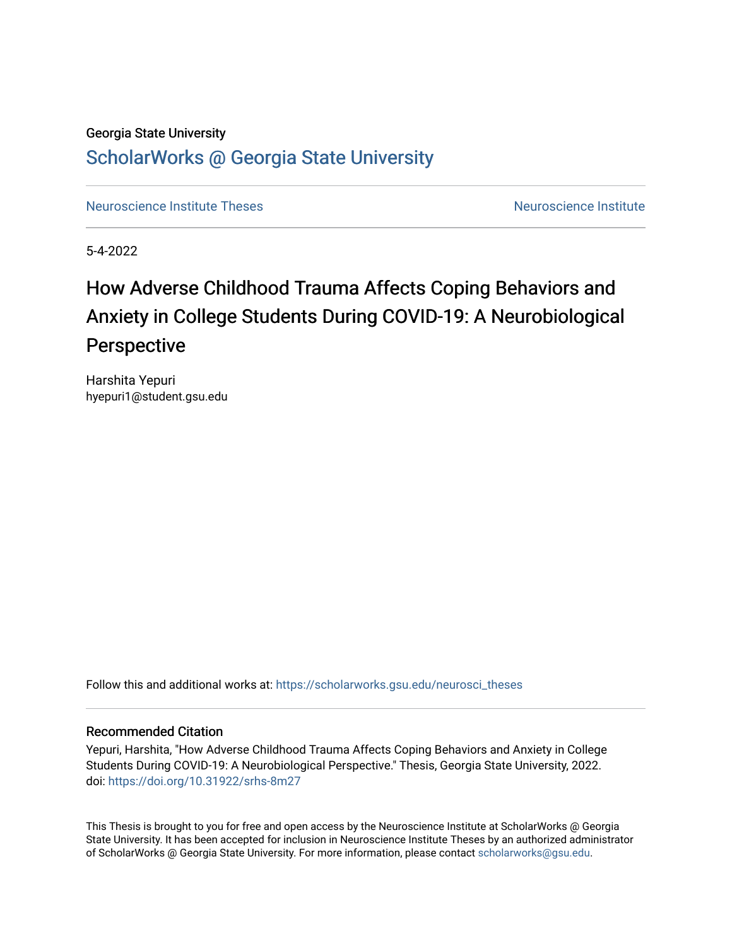# Georgia State University [ScholarWorks @ Georgia State University](https://scholarworks.gsu.edu/)

[Neuroscience Institute Theses](https://scholarworks.gsu.edu/neurosci_theses) [Neuroscience Institute](https://scholarworks.gsu.edu/neurosci) Neuroscience Institute

5-4-2022

# How Adverse Childhood Trauma Affects Coping Behaviors and Anxiety in College Students During COVID-19: A Neurobiological Perspective

Harshita Yepuri hyepuri1@student.gsu.edu

Follow this and additional works at: [https://scholarworks.gsu.edu/neurosci\\_theses](https://scholarworks.gsu.edu/neurosci_theses?utm_source=scholarworks.gsu.edu%2Fneurosci_theses%2F2&utm_medium=PDF&utm_campaign=PDFCoverPages)

## Recommended Citation

Yepuri, Harshita, "How Adverse Childhood Trauma Affects Coping Behaviors and Anxiety in College Students During COVID-19: A Neurobiological Perspective." Thesis, Georgia State University, 2022. doi: <https://doi.org/10.31922/srhs-8m27>

This Thesis is brought to you for free and open access by the Neuroscience Institute at ScholarWorks @ Georgia State University. It has been accepted for inclusion in Neuroscience Institute Theses by an authorized administrator of ScholarWorks @ Georgia State University. For more information, please contact [scholarworks@gsu.edu.](mailto:scholarworks@gsu.edu)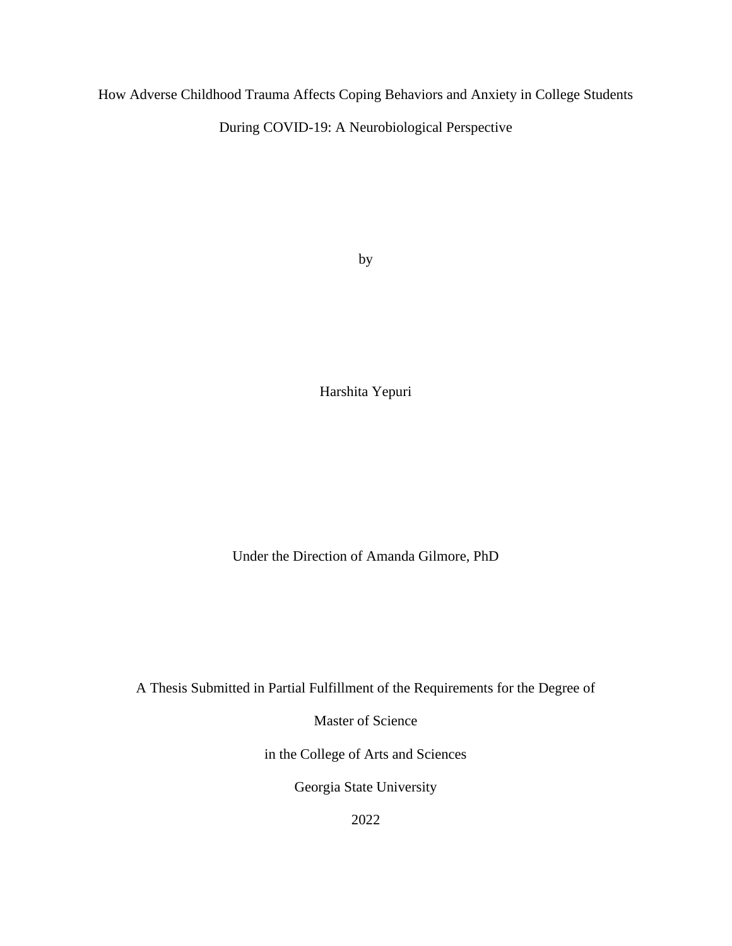How Adverse Childhood Trauma Affects Coping Behaviors and Anxiety in College Students During COVID-19: A Neurobiological Perspective

by

Harshita Yepuri

Under the Direction of Amanda Gilmore, PhD

A Thesis Submitted in Partial Fulfillment of the Requirements for the Degree of

Master of Science

in the College of Arts and Sciences

Georgia State University

2022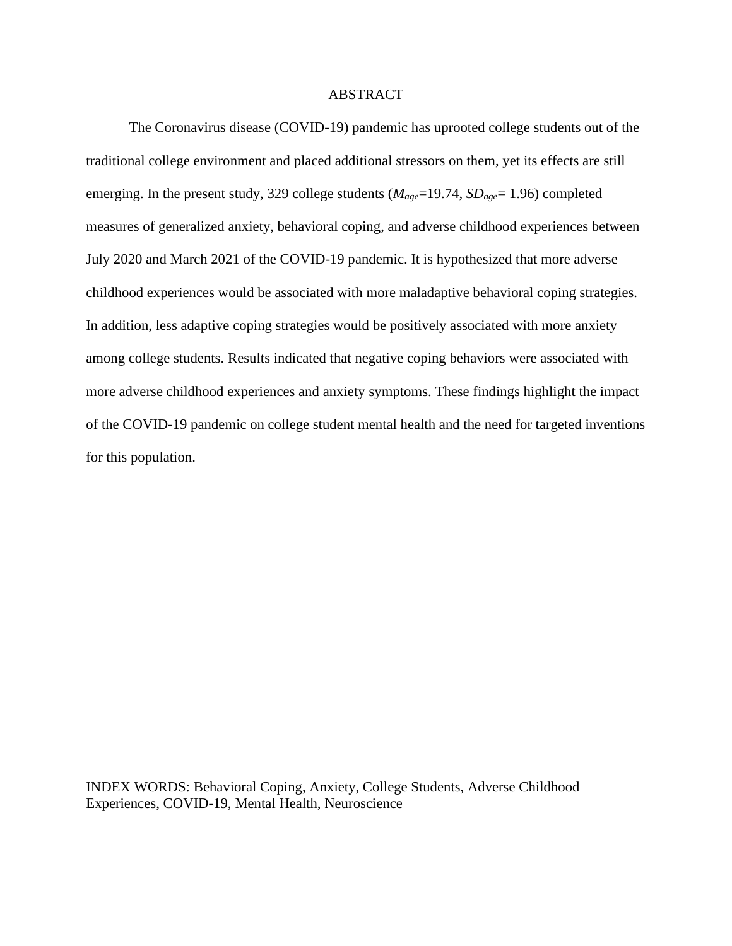### ABSTRACT

The Coronavirus disease (COVID-19) pandemic has uprooted college students out of the traditional college environment and placed additional stressors on them, yet its effects are still emerging. In the present study, 329 college students (*Mage*=19.74, *SDage*= 1.96) completed measures of generalized anxiety, behavioral coping, and adverse childhood experiences between July 2020 and March 2021 of the COVID-19 pandemic. It is hypothesized that more adverse childhood experiences would be associated with more maladaptive behavioral coping strategies. In addition, less adaptive coping strategies would be positively associated with more anxiety among college students. Results indicated that negative coping behaviors were associated with more adverse childhood experiences and anxiety symptoms. These findings highlight the impact of the COVID-19 pandemic on college student mental health and the need for targeted inventions for this population.

INDEX WORDS: Behavioral Coping, Anxiety, College Students, Adverse Childhood Experiences, COVID-19, Mental Health, Neuroscience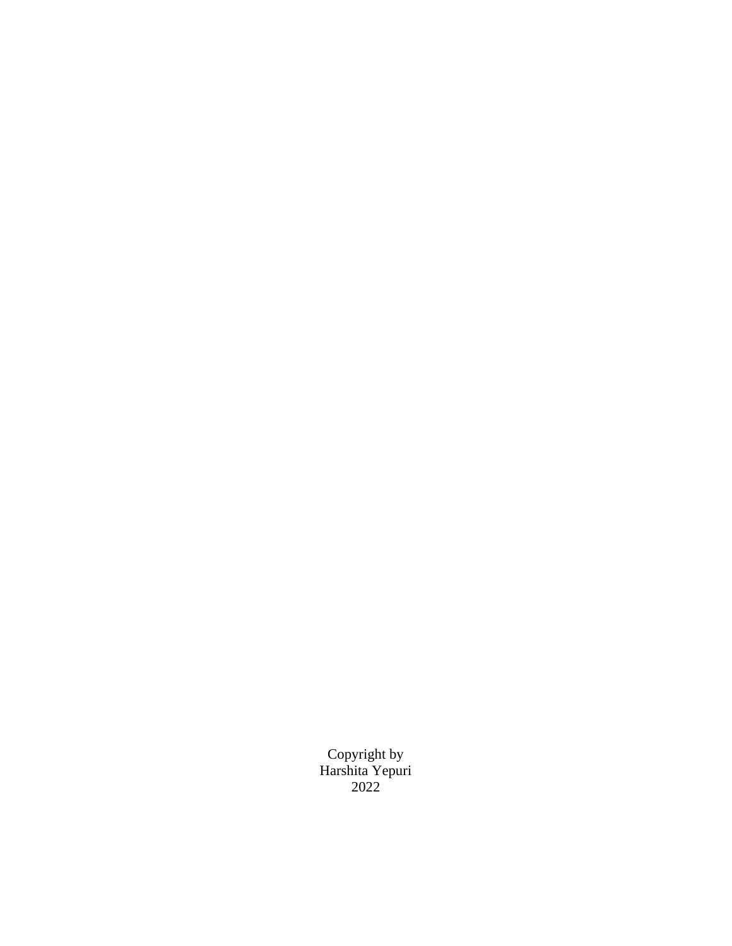Copyright by Harshita Yepuri 2022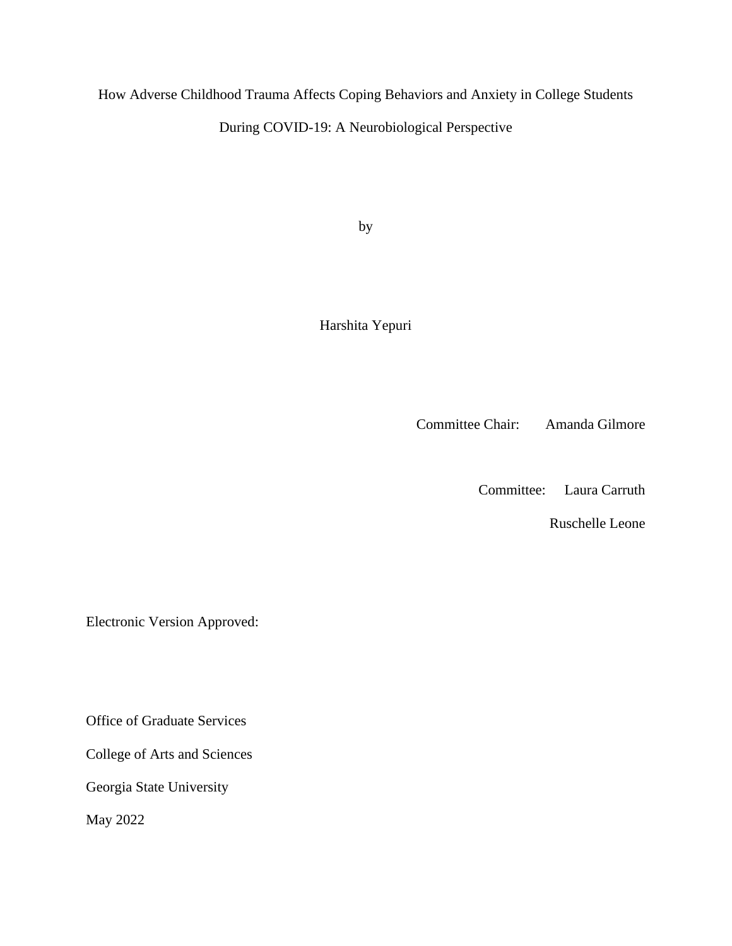How Adverse Childhood Trauma Affects Coping Behaviors and Anxiety in College Students During COVID-19: A Neurobiological Perspective

by

Harshita Yepuri

Committee Chair: Amanda Gilmore

Committee: Laura Carruth

Ruschelle Leone

Electronic Version Approved:

Office of Graduate Services

College of Arts and Sciences

Georgia State University

May 2022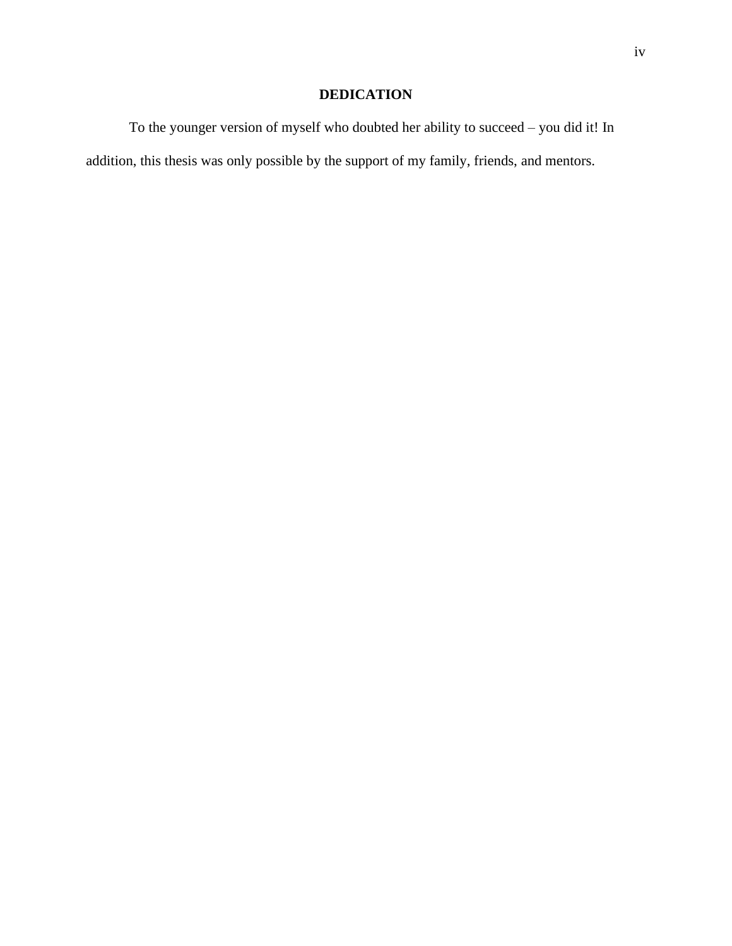# **DEDICATION**

To the younger version of myself who doubted her ability to succeed – you did it! In addition, this thesis was only possible by the support of my family, friends, and mentors.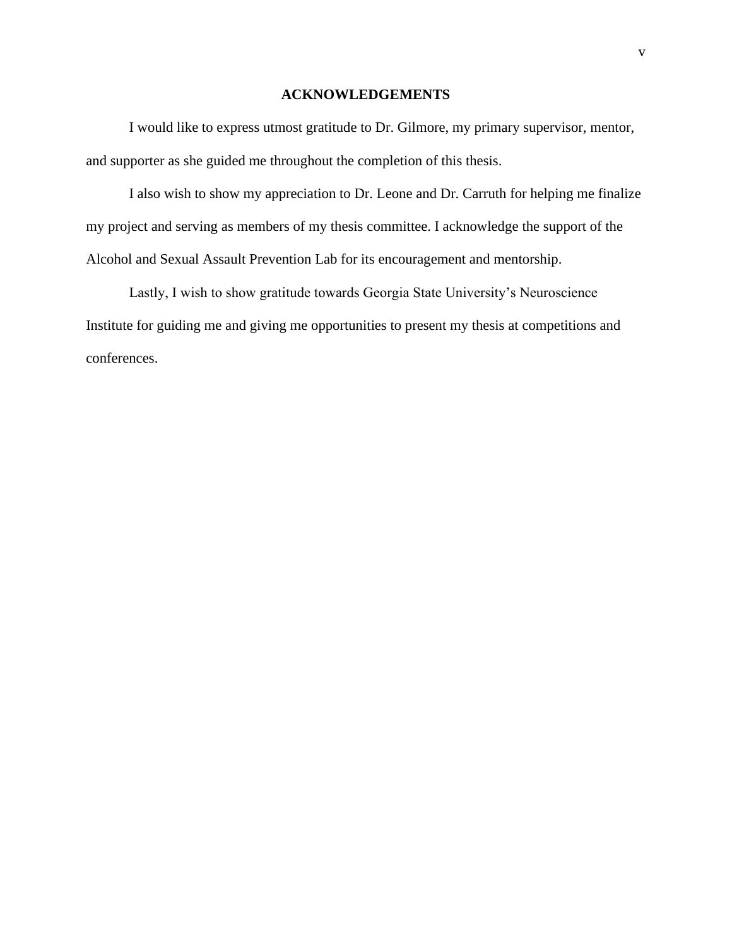# **ACKNOWLEDGEMENTS**

<span id="page-6-0"></span>I would like to express utmost gratitude to Dr. Gilmore, my primary supervisor, mentor, and supporter as she guided me throughout the completion of this thesis.

I also wish to show my appreciation to Dr. Leone and Dr. Carruth for helping me finalize my project and serving as members of my thesis committee. I acknowledge the support of the Alcohol and Sexual Assault Prevention Lab for its encouragement and mentorship.

Lastly, I wish to show gratitude towards Georgia State University's Neuroscience Institute for guiding me and giving me opportunities to present my thesis at competitions and conferences.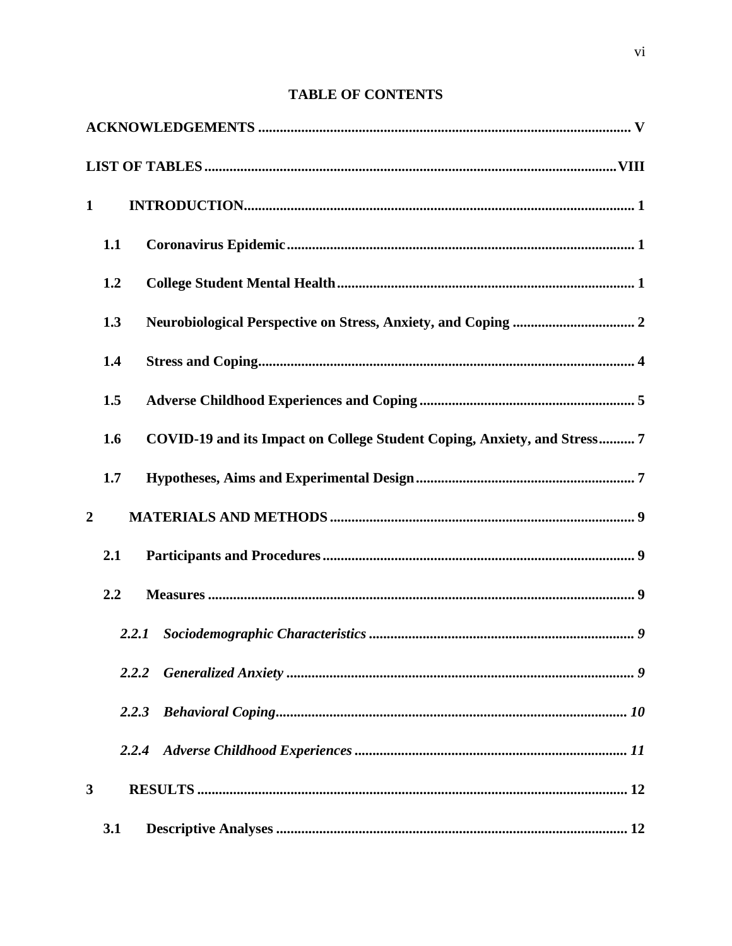# **TABLE OF CONTENTS**

| $\mathbf{1}$   |     |       |                                                                          |
|----------------|-----|-------|--------------------------------------------------------------------------|
|                | 1.1 |       |                                                                          |
|                | 1.2 |       |                                                                          |
|                | 1.3 |       |                                                                          |
|                | 1.4 |       |                                                                          |
|                | 1.5 |       |                                                                          |
|                | 1.6 |       | COVID-19 and its Impact on College Student Coping, Anxiety, and Stress 7 |
|                | 1.7 |       |                                                                          |
| $\overline{2}$ |     |       |                                                                          |
|                | 2.1 |       |                                                                          |
|                | 2.2 |       |                                                                          |
|                |     | 2.2.1 |                                                                          |
|                |     |       |                                                                          |
|                |     | 2.2.3 |                                                                          |
|                |     | 2.2.4 |                                                                          |
| 3              |     |       |                                                                          |
|                | 3.1 |       |                                                                          |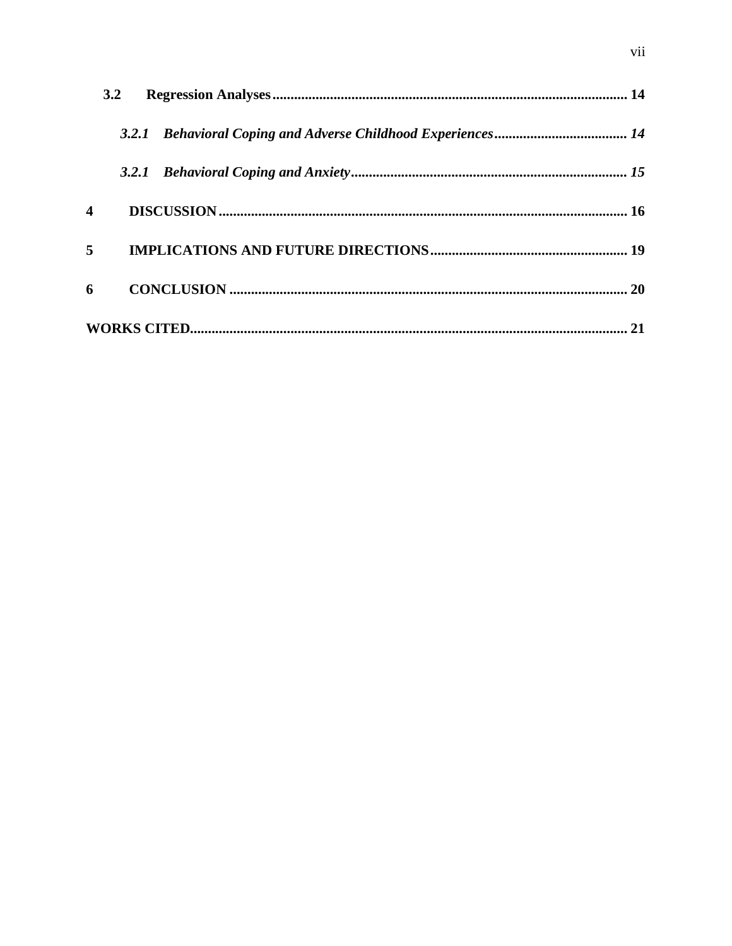|   | 3.2 |  |
|---|-----|--|
|   |     |  |
|   |     |  |
| 4 |     |  |
| 5 |     |  |
| 6 |     |  |
|   |     |  |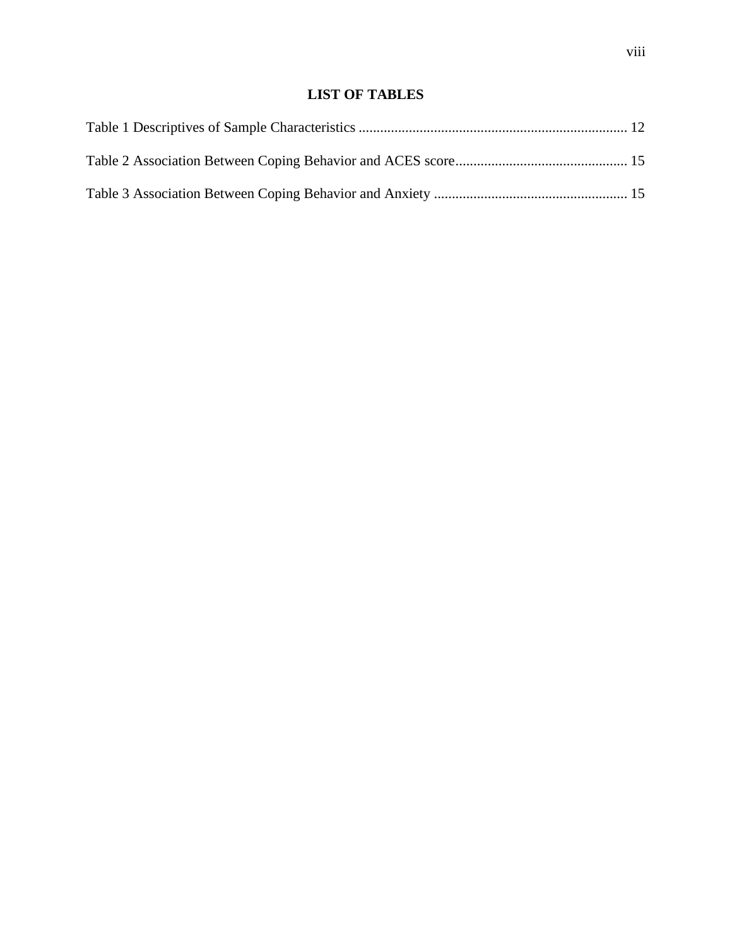# **LIST OF TABLES**

<span id="page-9-0"></span>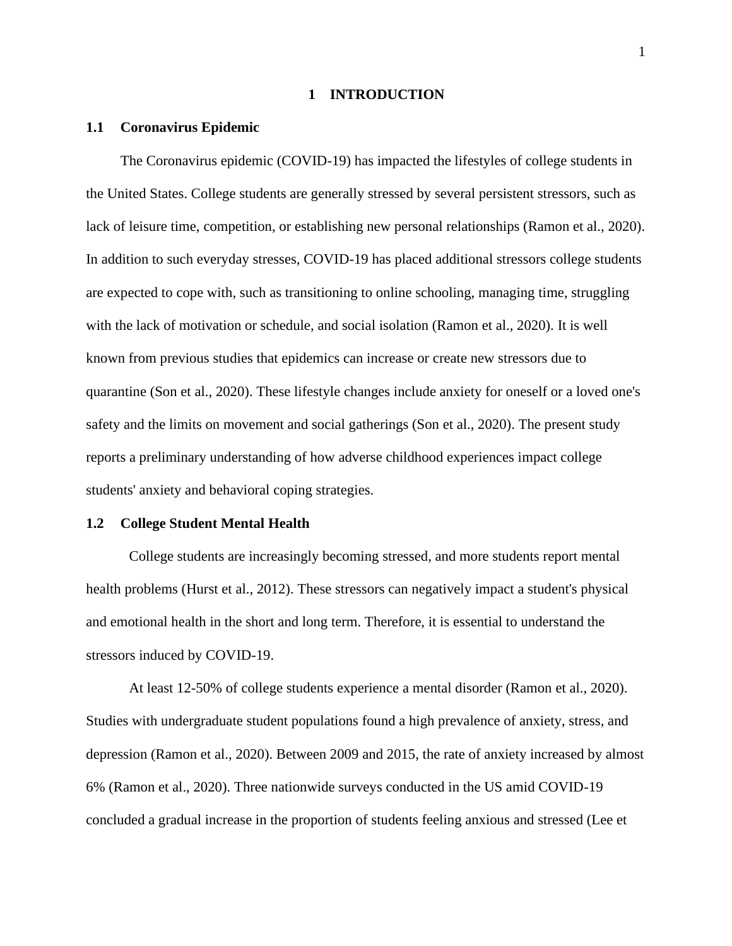#### **1 INTRODUCTION**

#### <span id="page-10-1"></span><span id="page-10-0"></span>**1.1 Coronavirus Epidemic**

The Coronavirus epidemic (COVID-19) has impacted the lifestyles of college students in the United States. College students are generally stressed by several persistent stressors, such as lack of leisure time, competition, or establishing new personal relationships (Ramon et al., 2020). In addition to such everyday stresses, COVID-19 has placed additional stressors college students are expected to cope with, such as transitioning to online schooling, managing time, struggling with the lack of motivation or schedule, and social isolation (Ramon et al., 2020). It is well known from previous studies that epidemics can increase or create new stressors due to quarantine (Son et al., 2020). These lifestyle changes include anxiety for oneself or a loved one's safety and the limits on movement and social gatherings (Son et al., 2020). The present study reports a preliminary understanding of how adverse childhood experiences impact college students' anxiety and behavioral coping strategies.

#### <span id="page-10-2"></span>**1.2 College Student Mental Health**

College students are increasingly becoming stressed, and more students report mental health problems (Hurst et al., 2012). These stressors can negatively impact a student's physical and emotional health in the short and long term. Therefore, it is essential to understand the stressors induced by COVID-19.

At least 12-50% of college students experience a mental disorder (Ramon et al., 2020). Studies with undergraduate student populations found a high prevalence of anxiety, stress, and depression (Ramon et al., 2020). Between 2009 and 2015, the rate of anxiety increased by almost 6% (Ramon et al., 2020). Three nationwide surveys conducted in the US amid COVID-19 concluded a gradual increase in the proportion of students feeling anxious and stressed (Lee et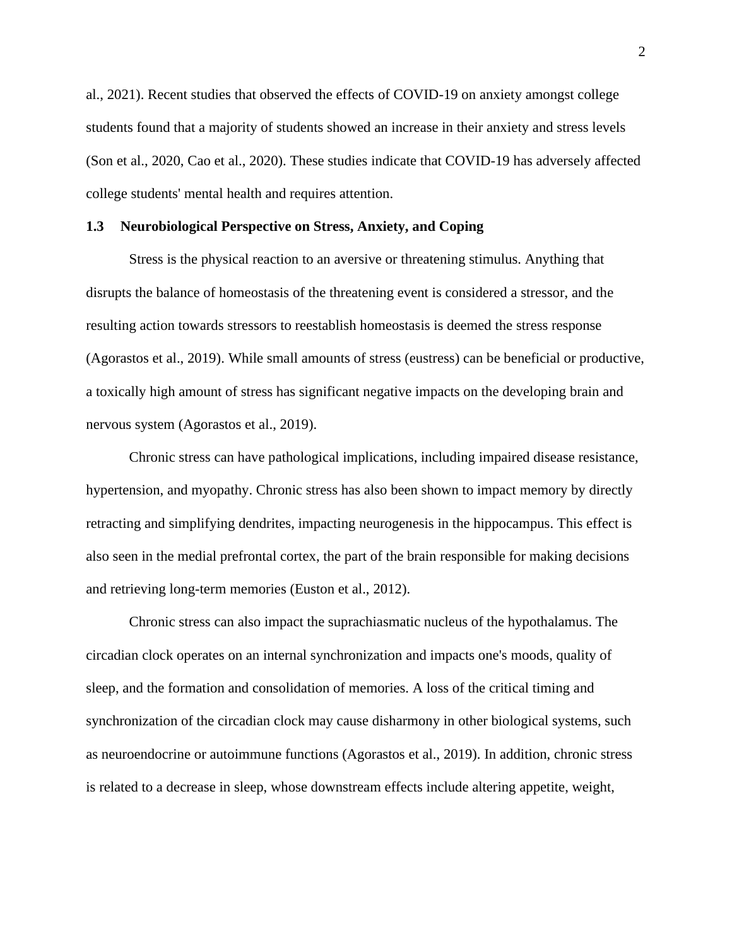al., 2021). Recent studies that observed the effects of COVID-19 on anxiety amongst college students found that a majority of students showed an increase in their anxiety and stress levels (Son et al., 2020, Cao et al., 2020). These studies indicate that COVID-19 has adversely affected college students' mental health and requires attention.

#### <span id="page-11-0"></span>**1.3 Neurobiological Perspective on Stress, Anxiety, and Coping**

Stress is the physical reaction to an aversive or threatening stimulus. Anything that disrupts the balance of homeostasis of the threatening event is considered a stressor, and the resulting action towards stressors to reestablish homeostasis is deemed the stress response (Agorastos et al., 2019). While small amounts of stress (eustress) can be beneficial or productive, a toxically high amount of stress has significant negative impacts on the developing brain and nervous system (Agorastos et al., 2019).

Chronic stress can have pathological implications, including impaired disease resistance, hypertension, and myopathy. Chronic stress has also been shown to impact memory by directly retracting and simplifying dendrites, impacting neurogenesis in the hippocampus. This effect is also seen in the medial prefrontal cortex, the part of the brain responsible for making decisions and retrieving long-term memories (Euston et al., 2012).

Chronic stress can also impact the suprachiasmatic nucleus of the hypothalamus. The circadian clock operates on an internal synchronization and impacts one's moods, quality of sleep, and the formation and consolidation of memories. A loss of the critical timing and synchronization of the circadian clock may cause disharmony in other biological systems, such as neuroendocrine or autoimmune functions (Agorastos et al., 2019). In addition, chronic stress is related to a decrease in sleep, whose downstream effects include altering appetite, weight,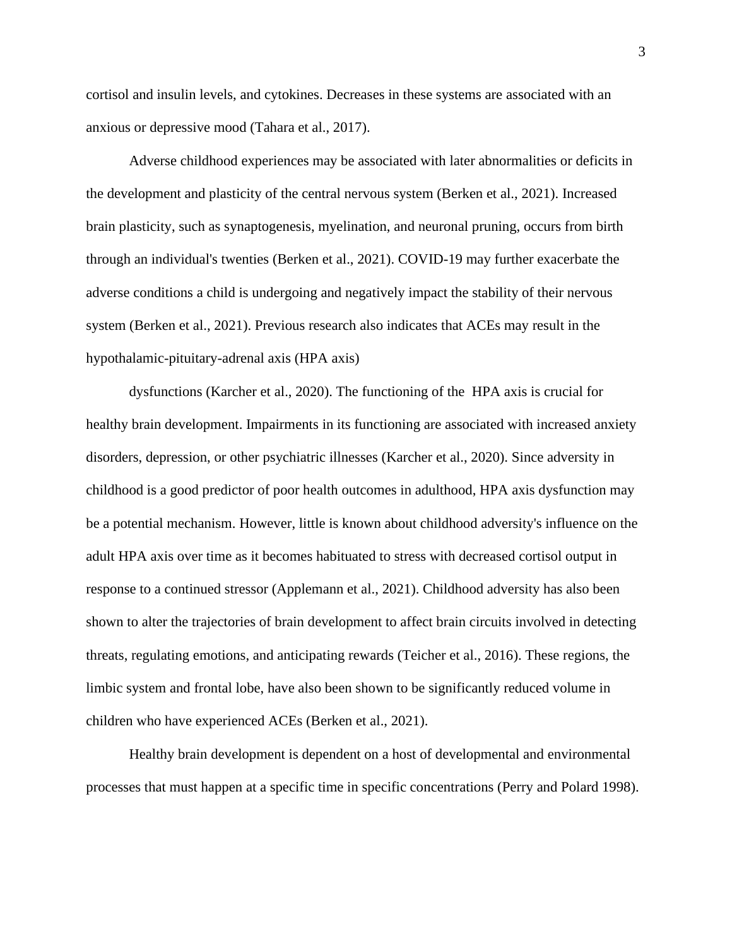cortisol and insulin levels, and cytokines. Decreases in these systems are associated with an anxious or depressive mood (Tahara et al., 2017).

Adverse childhood experiences may be associated with later abnormalities or deficits in the development and plasticity of the central nervous system (Berken et al., 2021). Increased brain plasticity, such as synaptogenesis, myelination, and neuronal pruning, occurs from birth through an individual's twenties (Berken et al., 2021). COVID-19 may further exacerbate the adverse conditions a child is undergoing and negatively impact the stability of their nervous system (Berken et al., 2021). Previous research also indicates that ACEs may result in the hypothalamic-pituitary-adrenal axis (HPA axis)

dysfunctions (Karcher et al., 2020). The functioning of the HPA axis is crucial for healthy brain development. Impairments in its functioning are associated with increased anxiety disorders, depression, or other psychiatric illnesses (Karcher et al., 2020). Since adversity in childhood is a good predictor of poor health outcomes in adulthood, HPA axis dysfunction may be a potential mechanism. However, little is known about childhood adversity's influence on the adult HPA axis over time as it becomes habituated to stress with decreased cortisol output in response to a continued stressor (Applemann et al., 2021). Childhood adversity has also been shown to alter the trajectories of brain development to affect brain circuits involved in detecting threats, regulating emotions, and anticipating rewards (Teicher et al., 2016). These regions, the limbic system and frontal lobe, have also been shown to be significantly reduced volume in children who have experienced ACEs (Berken et al., 2021).

Healthy brain development is dependent on a host of developmental and environmental processes that must happen at a specific time in specific concentrations (Perry and Polard 1998).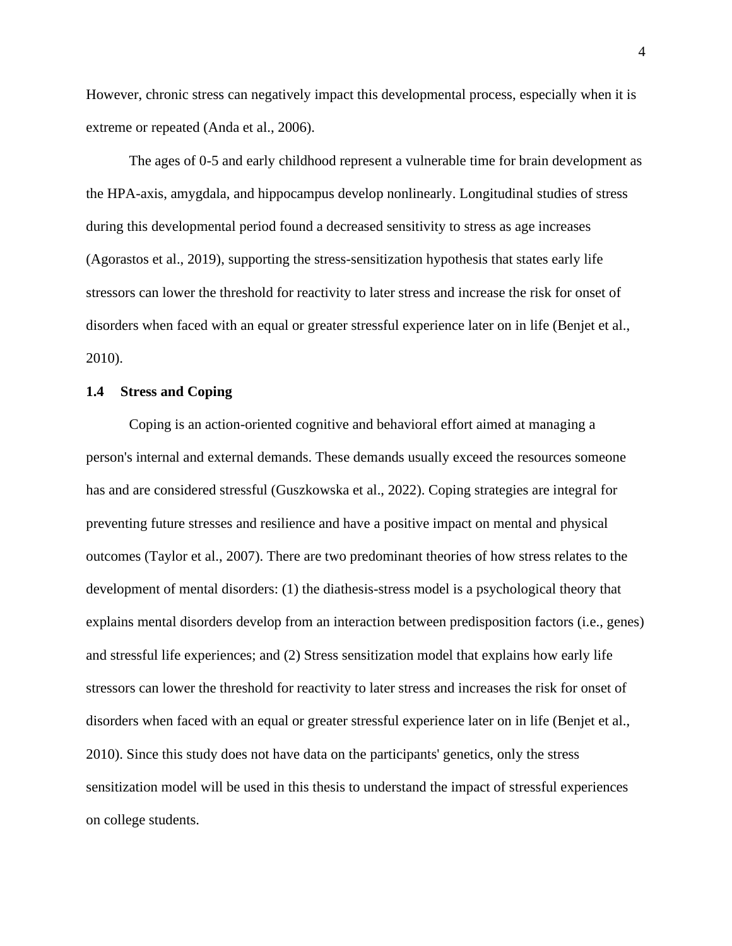However, chronic stress can negatively impact this developmental process, especially when it is extreme or repeated (Anda et al., 2006).

The ages of 0-5 and early childhood represent a vulnerable time for brain development as the HPA-axis, amygdala, and hippocampus develop nonlinearly. Longitudinal studies of stress during this developmental period found a decreased sensitivity to stress as age increases (Agorastos et al., 2019), supporting the stress-sensitization hypothesis that states early life stressors can lower the threshold for reactivity to later stress and increase the risk for onset of disorders when faced with an equal or greater stressful experience later on in life (Benjet et al., 2010).

#### <span id="page-13-0"></span>**1.4 Stress and Coping**

Coping is an action-oriented cognitive and behavioral effort aimed at managing a person's internal and external demands. These demands usually exceed the resources someone has and are considered stressful (Guszkowska et al., 2022). Coping strategies are integral for preventing future stresses and resilience and have a positive impact on mental and physical outcomes (Taylor et al., 2007). There are two predominant theories of how stress relates to the development of mental disorders: (1) the diathesis-stress model is a psychological theory that explains mental disorders develop from an interaction between predisposition factors (i.e., genes) and stressful life experiences; and (2) Stress sensitization model that explains how early life stressors can lower the threshold for reactivity to later stress and increases the risk for onset of disorders when faced with an equal or greater stressful experience later on in life (Benjet et al., 2010). Since this study does not have data on the participants' genetics, only the stress sensitization model will be used in this thesis to understand the impact of stressful experiences on college students.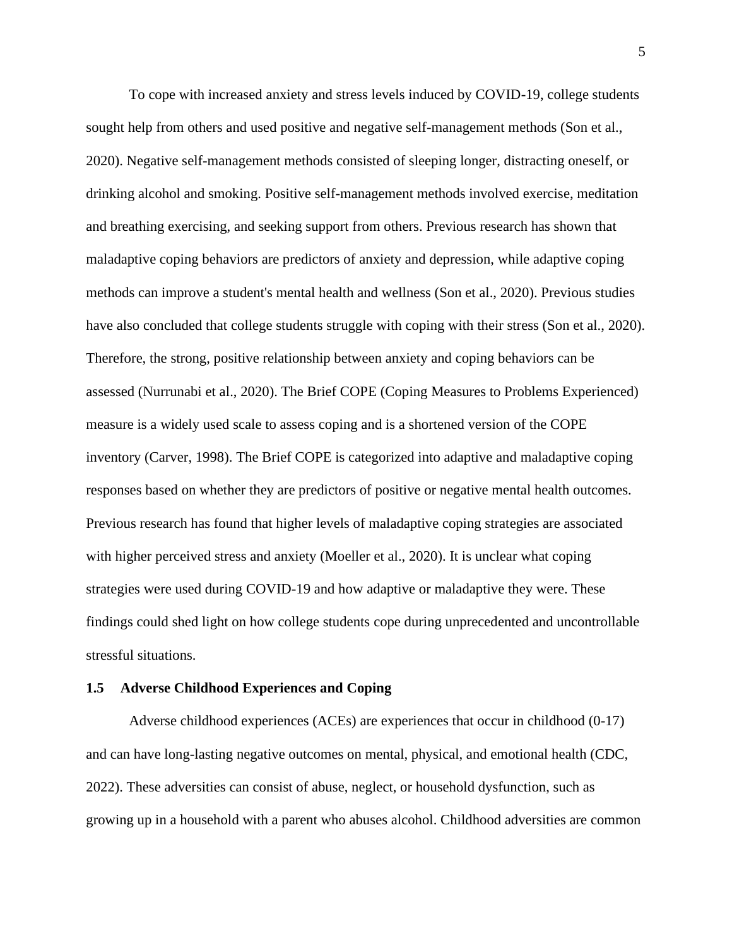To cope with increased anxiety and stress levels induced by COVID-19, college students sought help from others and used positive and negative self-management methods (Son et al., 2020). Negative self-management methods consisted of sleeping longer, distracting oneself, or drinking alcohol and smoking. Positive self-management methods involved exercise, meditation and breathing exercising, and seeking support from others. Previous research has shown that maladaptive coping behaviors are predictors of anxiety and depression, while adaptive coping methods can improve a student's mental health and wellness (Son et al., 2020). Previous studies have also concluded that college students struggle with coping with their stress (Son et al., 2020). Therefore, the strong, positive relationship between anxiety and coping behaviors can be assessed (Nurrunabi et al., 2020). The Brief COPE (Coping Measures to Problems Experienced) measure is a widely used scale to assess coping and is a shortened version of the COPE inventory (Carver, 1998). The Brief COPE is categorized into adaptive and maladaptive coping responses based on whether they are predictors of positive or negative mental health outcomes. Previous research has found that higher levels of maladaptive coping strategies are associated with higher perceived stress and anxiety (Moeller et al., 2020). It is unclear what coping strategies were used during COVID-19 and how adaptive or maladaptive they were. These findings could shed light on how college students cope during unprecedented and uncontrollable stressful situations.

#### <span id="page-14-0"></span>**1.5 Adverse Childhood Experiences and Coping**

Adverse childhood experiences (ACEs) are experiences that occur in childhood (0-17) and can have long-lasting negative outcomes on mental, physical, and emotional health (CDC, 2022). These adversities can consist of abuse, neglect, or household dysfunction, such as growing up in a household with a parent who abuses alcohol. Childhood adversities are common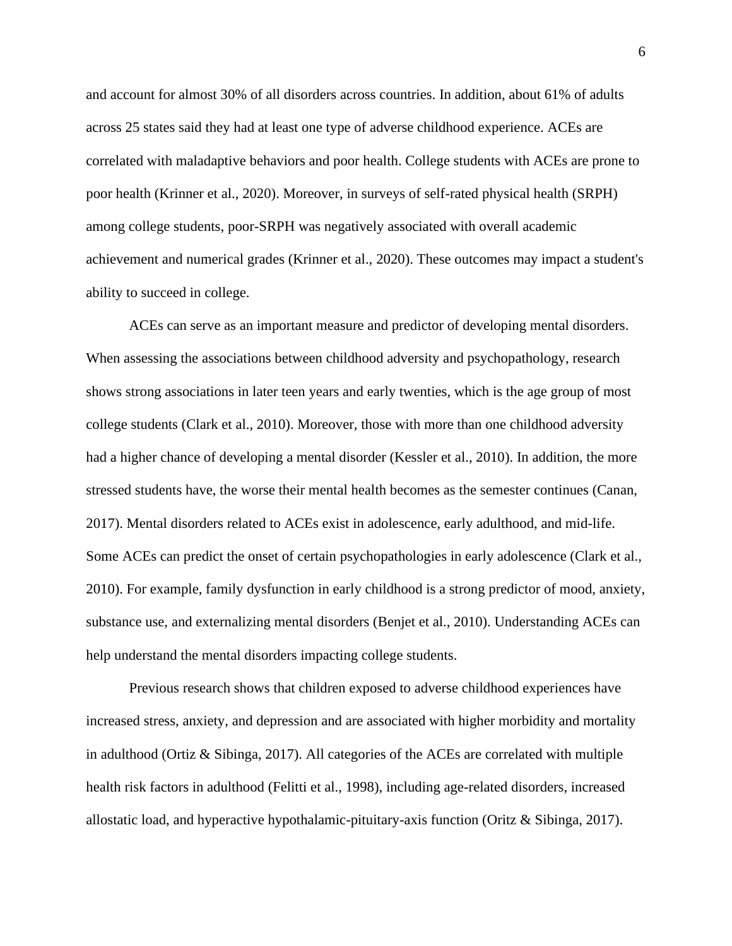and account for almost 30% of all disorders across countries. In addition, about 61% of adults across 25 states said they had at least one type of adverse childhood experience. ACEs are correlated with maladaptive behaviors and poor health. College students with ACEs are prone to poor health (Krinner et al., 2020). Moreover, in surveys of self-rated physical health (SRPH) among college students, poor-SRPH was negatively associated with overall academic achievement and numerical grades (Krinner et al., 2020). These outcomes may impact a student's ability to succeed in college.

ACEs can serve as an important measure and predictor of developing mental disorders. When assessing the associations between childhood adversity and psychopathology, research shows strong associations in later teen years and early twenties, which is the age group of most college students (Clark et al., 2010). Moreover, those with more than one childhood adversity had a higher chance of developing a mental disorder (Kessler et al., 2010). In addition, the more stressed students have, the worse their mental health becomes as the semester continues (Canan, 2017). Mental disorders related to ACEs exist in adolescence, early adulthood, and mid-life. Some ACEs can predict the onset of certain psychopathologies in early adolescence (Clark et al., 2010). For example, family dysfunction in early childhood is a strong predictor of mood, anxiety, substance use, and externalizing mental disorders (Benjet et al., 2010). Understanding ACEs can help understand the mental disorders impacting college students.

Previous research shows that children exposed to adverse childhood experiences have increased stress, anxiety, and depression and are associated with higher morbidity and mortality in adulthood (Ortiz  $\&$  Sibinga, 2017). All categories of the ACEs are correlated with multiple health risk factors in adulthood (Felitti et al., 1998), including age-related disorders, increased allostatic load, and hyperactive hypothalamic-pituitary-axis function (Oritz & Sibinga, 2017).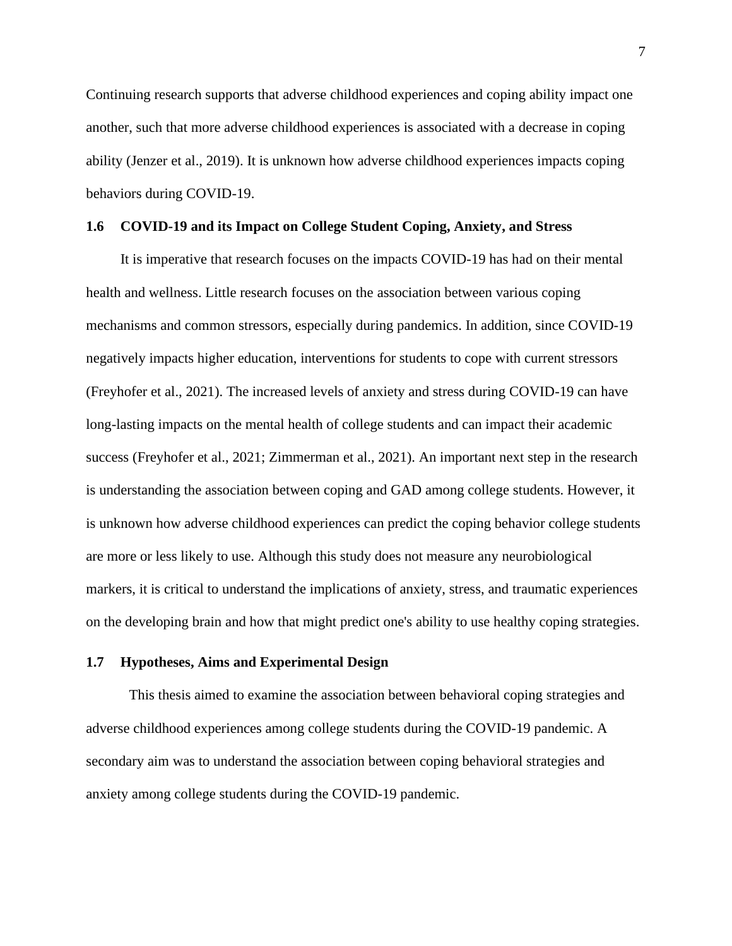Continuing research supports that adverse childhood experiences and coping ability impact one another, such that more adverse childhood experiences is associated with a decrease in coping ability (Jenzer et al., 2019). It is unknown how adverse childhood experiences impacts coping behaviors during COVID-19.

## <span id="page-16-0"></span>**1.6 COVID-19 and its Impact on College Student Coping, Anxiety, and Stress**

It is imperative that research focuses on the impacts COVID-19 has had on their mental health and wellness. Little research focuses on the association between various coping mechanisms and common stressors, especially during pandemics. In addition, since COVID-19 negatively impacts higher education, interventions for students to cope with current stressors (Freyhofer et al., 2021). The increased levels of anxiety and stress during COVID-19 can have long-lasting impacts on the mental health of college students and can impact their academic success (Freyhofer et al., 2021; Zimmerman et al., 2021). An important next step in the research is understanding the association between coping and GAD among college students. However, it is unknown how adverse childhood experiences can predict the coping behavior college students are more or less likely to use. Although this study does not measure any neurobiological markers, it is critical to understand the implications of anxiety, stress, and traumatic experiences on the developing brain and how that might predict one's ability to use healthy coping strategies.

## <span id="page-16-1"></span>**1.7 Hypotheses, Aims and Experimental Design**

This thesis aimed to examine the association between behavioral coping strategies and adverse childhood experiences among college students during the COVID-19 pandemic. A secondary aim was to understand the association between coping behavioral strategies and anxiety among college students during the COVID-19 pandemic.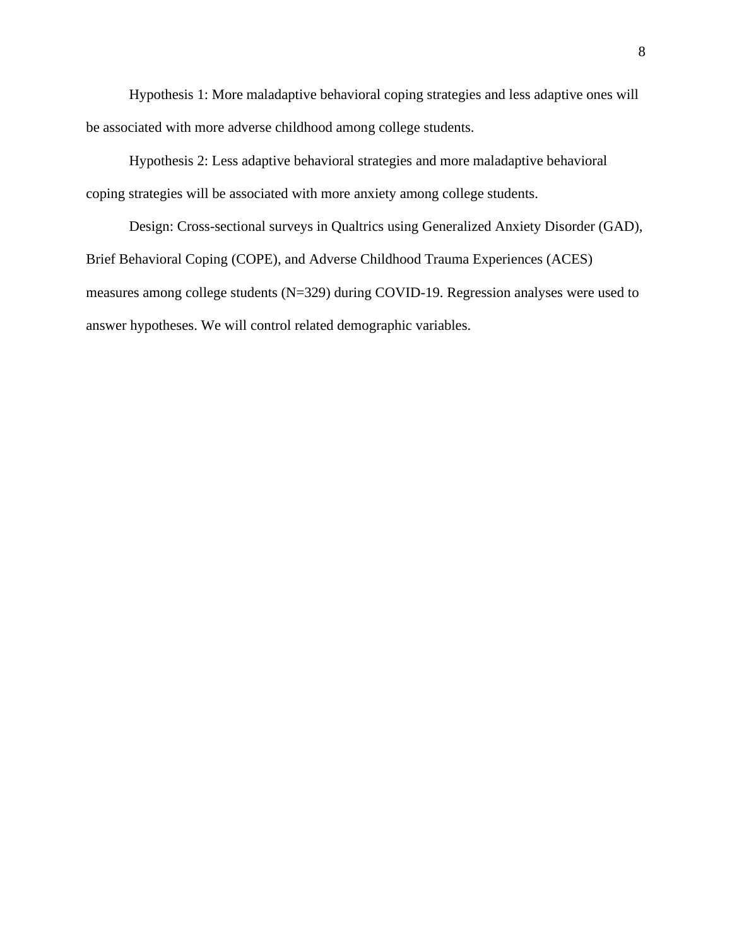Hypothesis 1: More maladaptive behavioral coping strategies and less adaptive ones will be associated with more adverse childhood among college students.

Hypothesis 2: Less adaptive behavioral strategies and more maladaptive behavioral coping strategies will be associated with more anxiety among college students.

Design: Cross-sectional surveys in Qualtrics using Generalized Anxiety Disorder (GAD), Brief Behavioral Coping (COPE), and Adverse Childhood Trauma Experiences (ACES) measures among college students (N=329) during COVID-19. Regression analyses were used to answer hypotheses. We will control related demographic variables.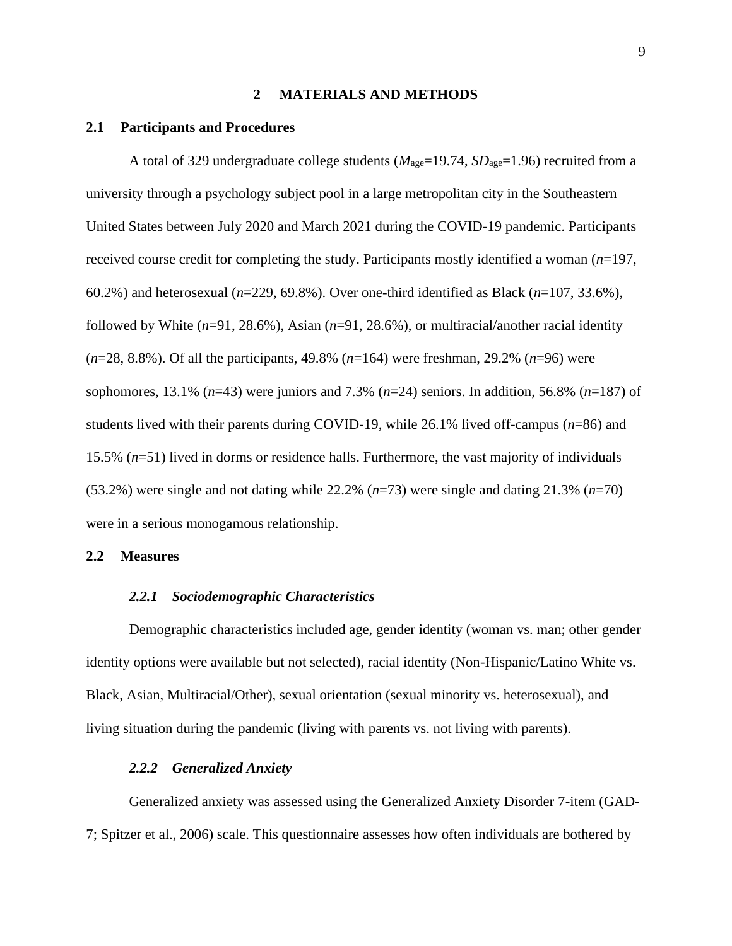### **2 MATERIALS AND METHODS**

#### <span id="page-18-1"></span><span id="page-18-0"></span>**2.1 Participants and Procedures**

A total of 329 undergraduate college students ( $M_{\text{age}}$ =19.74,  $SD_{\text{age}}$ =1.96) recruited from a university through a psychology subject pool in a large metropolitan city in the Southeastern United States between July 2020 and March 2021 during the COVID-19 pandemic. Participants received course credit for completing the study. Participants mostly identified a woman (*n*=197, 60.2%) and heterosexual (*n*=229, 69.8%). Over one-third identified as Black (*n*=107, 33.6%), followed by White (*n*=91, 28.6%), Asian (*n*=91, 28.6%), or multiracial/another racial identity (*n*=28, 8.8%). Of all the participants, 49.8% (*n*=164) were freshman, 29.2% (*n*=96) were sophomores, 13.1% (*n*=43) were juniors and 7.3% (*n*=24) seniors. In addition, 56.8% (*n*=187) of students lived with their parents during COVID-19, while 26.1% lived off-campus (*n*=86) and 15.5% (*n*=51) lived in dorms or residence halls. Furthermore, the vast majority of individuals (53.2%) were single and not dating while 22.2% (*n*=73) were single and dating 21.3% (*n*=70) were in a serious monogamous relationship.

#### <span id="page-18-3"></span><span id="page-18-2"></span>**2.2 Measures**

#### *2.2.1 Sociodemographic Characteristics*

Demographic characteristics included age, gender identity (woman vs. man; other gender identity options were available but not selected), racial identity (Non-Hispanic/Latino White vs. Black, Asian, Multiracial/Other), sexual orientation (sexual minority vs. heterosexual), and living situation during the pandemic (living with parents vs. not living with parents).

#### *2.2.2 Generalized Anxiety*

<span id="page-18-4"></span>Generalized anxiety was assessed using the Generalized Anxiety Disorder 7-item (GAD-7; Spitzer et al., 2006) scale. This questionnaire assesses how often individuals are bothered by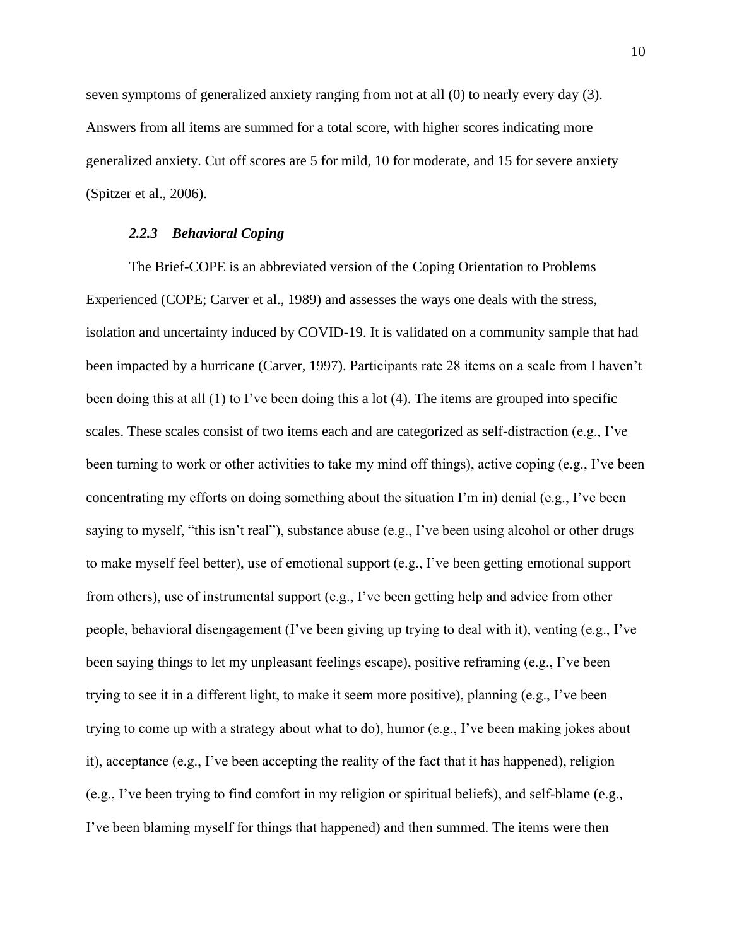seven symptoms of generalized anxiety ranging from not at all (0) to nearly every day (3). Answers from all items are summed for a total score, with higher scores indicating more generalized anxiety. Cut off scores are 5 for mild, 10 for moderate, and 15 for severe anxiety (Spitzer et al., 2006).

### *2.2.3 Behavioral Coping*

<span id="page-19-0"></span>The Brief-COPE is an abbreviated version of the Coping Orientation to Problems Experienced (COPE; Carver et al., 1989) and assesses the ways one deals with the stress, isolation and uncertainty induced by COVID-19. It is validated on a community sample that had been impacted by a hurricane (Carver, 1997). Participants rate 28 items on a scale from I haven't been doing this at all (1) to I've been doing this a lot (4). The items are grouped into specific scales. These scales consist of two items each and are categorized as self-distraction (e.g., I've been turning to work or other activities to take my mind off things), active coping (e.g., I've been concentrating my efforts on doing something about the situation I'm in) denial (e.g., I've been saying to myself, "this isn't real"), substance abuse (e.g., I've been using alcohol or other drugs to make myself feel better), use of emotional support (e.g., I've been getting emotional support from others), use of instrumental support (e.g., I've been getting help and advice from other people, behavioral disengagement (I've been giving up trying to deal with it), venting (e.g., I've been saying things to let my unpleasant feelings escape), positive reframing (e.g., I've been trying to see it in a different light, to make it seem more positive), planning (e.g., I've been trying to come up with a strategy about what to do), humor (e.g., I've been making jokes about it), acceptance (e.g., I've been accepting the reality of the fact that it has happened), religion (e.g., I've been trying to find comfort in my religion or spiritual beliefs), and self-blame (e.g., I've been blaming myself for things that happened) and then summed. The items were then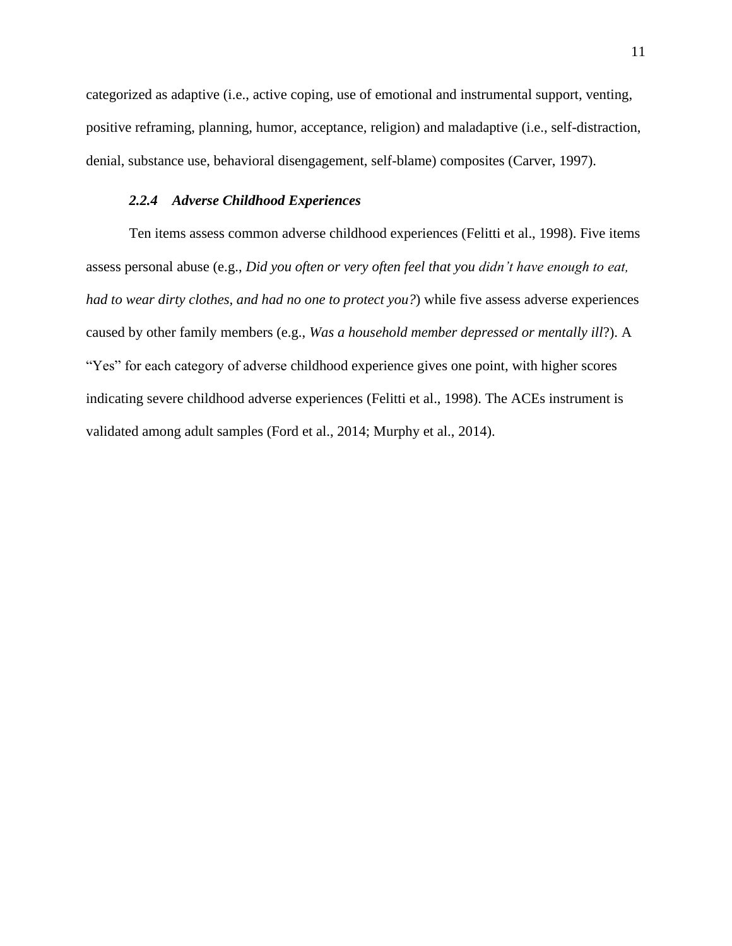categorized as adaptive (i.e., active coping, use of emotional and instrumental support, venting, positive reframing, planning, humor, acceptance, religion) and maladaptive (i.e., self-distraction, denial, substance use, behavioral disengagement, self-blame) composites (Carver, 1997).

# *2.2.4 Adverse Childhood Experiences*

<span id="page-20-0"></span>Ten items assess common adverse childhood experiences (Felitti et al., 1998). Five items assess personal abuse (e.g., *Did you often or very often feel that you didn't have enough to eat, had to wear dirty clothes, and had no one to protect you?*) while five assess adverse experiences caused by other family members (e.g., *Was a household member depressed or mentally ill*?). A "Yes" for each category of adverse childhood experience gives one point, with higher scores indicating severe childhood adverse experiences (Felitti et al., 1998). The ACEs instrument is validated among adult samples (Ford et al., 2014; Murphy et al., 2014).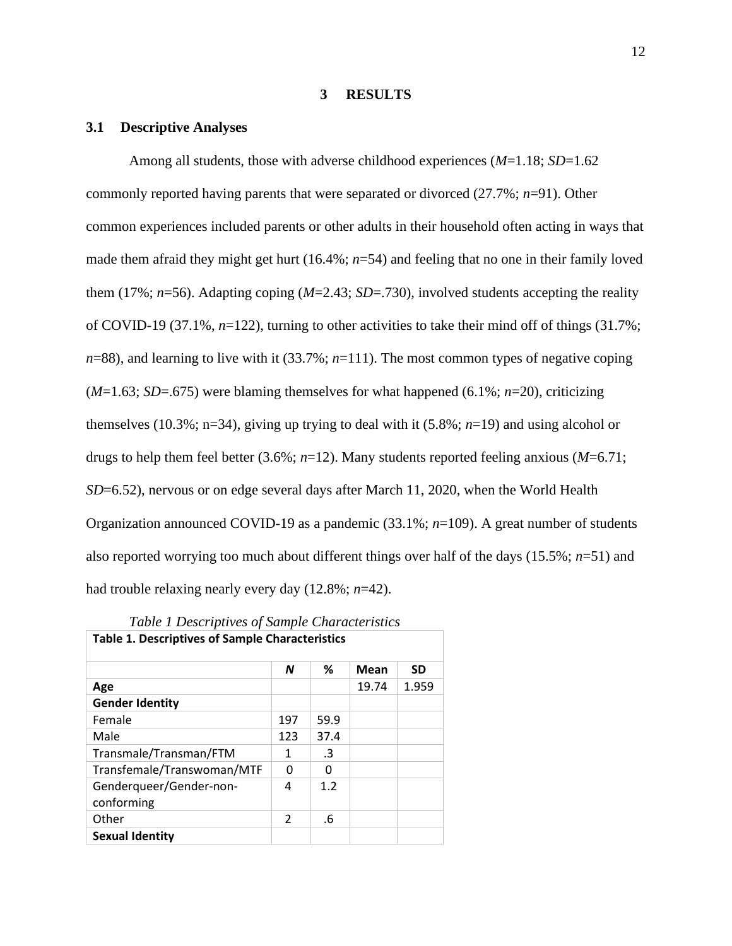#### **3 RESULTS**

#### <span id="page-21-1"></span><span id="page-21-0"></span>**3.1 Descriptive Analyses**

Among all students, those with adverse childhood experiences (*M*=1.18; *SD*=1.62 commonly reported having parents that were separated or divorced (27.7%; *n*=91). Other common experiences included parents or other adults in their household often acting in ways that made them afraid they might get hurt (16.4%; *n*=54) and feeling that no one in their family loved them (17%;  $n=56$ ). Adapting coping ( $M=2.43$ ;  $SD=.730$ ), involved students accepting the reality of COVID-19 (37.1%, *n*=122), turning to other activities to take their mind off of things (31.7%;  $n=88$ ), and learning to live with it (33.7%;  $n=111$ ). The most common types of negative coping (*M*=1.63; *SD*=.675) were blaming themselves for what happened (6.1%; *n*=20), criticizing themselves (10.3%; n=34), giving up trying to deal with it (5.8%; *n*=19) and using alcohol or drugs to help them feel better (3.6%; *n*=12). Many students reported feeling anxious (*M*=6.71; *SD*=6.52), nervous or on edge several days after March 11, 2020, when the World Health Organization announced COVID-19 as a pandemic (33.1%; *n*=109). A great number of students also reported worrying too much about different things over half of the days (15.5%; *n*=51) and had trouble relaxing nearly every day (12.8%; *n*=42).

<span id="page-21-2"></span>

| Table 1 Descriptives of Sample Characteristics         |                |              |       |           |  |  |  |
|--------------------------------------------------------|----------------|--------------|-------|-----------|--|--|--|
| <b>Table 1. Descriptives of Sample Characteristics</b> |                |              |       |           |  |  |  |
|                                                        | N              | ℅            | Mean  | <b>SD</b> |  |  |  |
| Age                                                    |                |              | 19.74 | 1.959     |  |  |  |
| <b>Gender Identity</b>                                 |                |              |       |           |  |  |  |
| Female                                                 | 197            | 59.9         |       |           |  |  |  |
| Male                                                   | 123            | 37.4         |       |           |  |  |  |
| Transmale/Transman/FTM                                 | 1              | $\cdot$ 3    |       |           |  |  |  |
| Transfemale/Transwoman/MTF                             | O              | <sup>0</sup> |       |           |  |  |  |
| Genderqueer/Gender-non-<br>conforming                  | 4              | 1.2          |       |           |  |  |  |
| Other                                                  | $\mathfrak{p}$ | .6           |       |           |  |  |  |
| <b>Sexual Identity</b>                                 |                |              |       |           |  |  |  |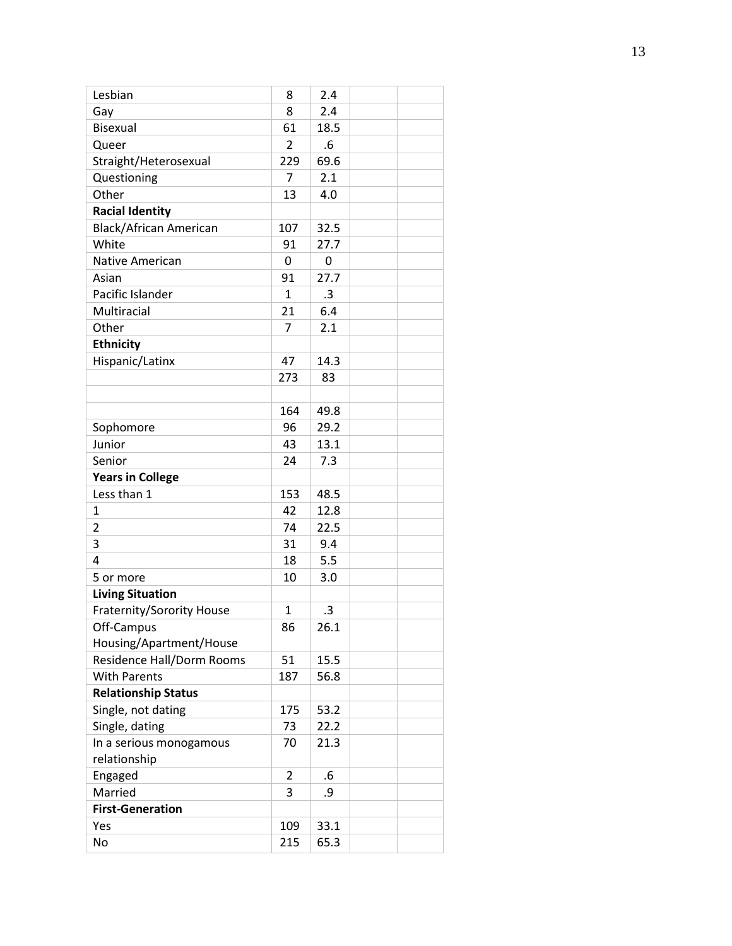| Lesbian                          | 8   | 2.4       |  |
|----------------------------------|-----|-----------|--|
| Gay                              | 8   | 2.4       |  |
| <b>Bisexual</b>                  | 61  | 18.5      |  |
| Queer                            | 2   | .6        |  |
| Straight/Heterosexual            | 229 | 69.6      |  |
| Questioning                      | 7   | 2.1       |  |
| Other                            | 13  | 4.0       |  |
| <b>Racial Identity</b>           |     |           |  |
| <b>Black/African American</b>    | 107 | 32.5      |  |
| White                            | 91  | 27.7      |  |
| Native American                  | 0   | 0         |  |
| Asian                            | 91  | 27.7      |  |
| Pacific Islander                 | 1   | .3        |  |
| Multiracial                      | 21  | 6.4       |  |
| Other                            | 7   | 2.1       |  |
| <b>Ethnicity</b>                 |     |           |  |
| Hispanic/Latinx                  | 47  | 14.3      |  |
|                                  | 273 | 83        |  |
|                                  |     |           |  |
|                                  | 164 | 49.8      |  |
| Sophomore                        | 96  | 29.2      |  |
| Junior                           | 43  | 13.1      |  |
| Senior                           | 24  | 7.3       |  |
| <b>Years in College</b>          |     |           |  |
| Less than 1                      | 153 | 48.5      |  |
| 1                                | 42  | 12.8      |  |
| $\overline{2}$                   | 74  | 22.5      |  |
| 3                                | 31  | 9.4       |  |
| 4                                | 18  | 5.5       |  |
| 5 or more                        | 10  | 3.0       |  |
| <b>Living Situation</b>          |     |           |  |
| <b>Fraternity/Sorority House</b> | 1   | $\cdot$ 3 |  |
| Off-Campus                       | 86  | 26.1      |  |
| Housing/Apartment/House          |     |           |  |
| Residence Hall/Dorm Rooms        |     |           |  |
|                                  | 51  | 15.5      |  |
| <b>With Parents</b>              | 187 | 56.8      |  |
| <b>Relationship Status</b>       |     |           |  |
| Single, not dating               | 175 | 53.2      |  |
| Single, dating                   | 73  | 22.2      |  |
| In a serious monogamous          | 70  | 21.3      |  |
| relationship                     |     |           |  |
| Engaged                          | 2   | .6        |  |
| Married                          | 3   | .9        |  |
| <b>First-Generation</b>          |     |           |  |
| Yes                              | 109 | 33.1      |  |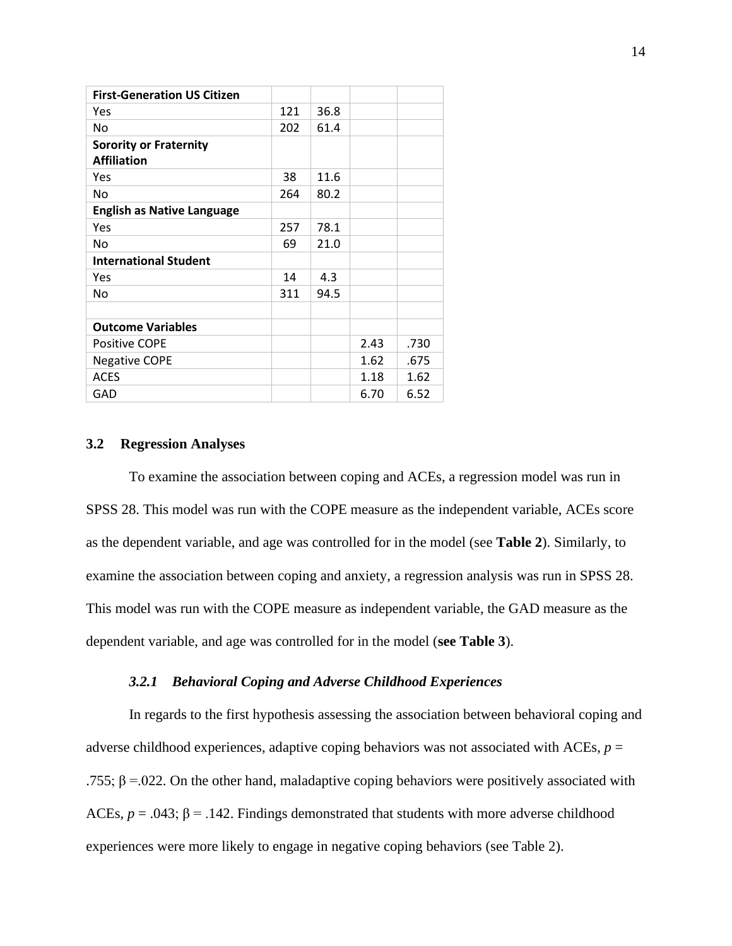| <b>First-Generation US Citizen</b>                  |     |      |      |      |
|-----------------------------------------------------|-----|------|------|------|
| Yes                                                 | 121 | 36.8 |      |      |
| No.                                                 | 202 | 61.4 |      |      |
| <b>Sorority or Fraternity</b><br><b>Affiliation</b> |     |      |      |      |
| Yes                                                 | 38  | 11.6 |      |      |
| No.                                                 | 264 | 80.2 |      |      |
| <b>English as Native Language</b>                   |     |      |      |      |
| Yes                                                 | 257 | 78.1 |      |      |
| No                                                  | 69  | 21.0 |      |      |
| <b>International Student</b>                        |     |      |      |      |
| Yes                                                 | 14  | 4.3  |      |      |
| <b>No</b>                                           | 311 | 94.5 |      |      |
|                                                     |     |      |      |      |
| <b>Outcome Variables</b>                            |     |      |      |      |
| <b>Positive COPE</b>                                |     |      | 2.43 | .730 |
| <b>Negative COPE</b>                                |     |      | 1.62 | .675 |
| <b>ACES</b>                                         |     |      | 1.18 | 1.62 |
| GAD                                                 |     |      | 6.70 | 6.52 |

## <span id="page-23-0"></span>**3.2 Regression Analyses**

To examine the association between coping and ACEs, a regression model was run in SPSS 28. This model was run with the COPE measure as the independent variable, ACEs score as the dependent variable, and age was controlled for in the model (see **Table 2**). Similarly, to examine the association between coping and anxiety, a regression analysis was run in SPSS 28. This model was run with the COPE measure as independent variable, the GAD measure as the dependent variable, and age was controlled for in the model (**see Table 3**).

## *3.2.1 Behavioral Coping and Adverse Childhood Experiences*

<span id="page-23-1"></span>In regards to the first hypothesis assessing the association between behavioral coping and adverse childhood experiences, adaptive coping behaviors was not associated with ACEs,  $p =$ .755;  $β = .022$ . On the other hand, maladaptive coping behaviors were positively associated with ACEs,  $p = .043$ ;  $\beta = .142$ . Findings demonstrated that students with more adverse childhood experiences were more likely to engage in negative coping behaviors (see Table 2).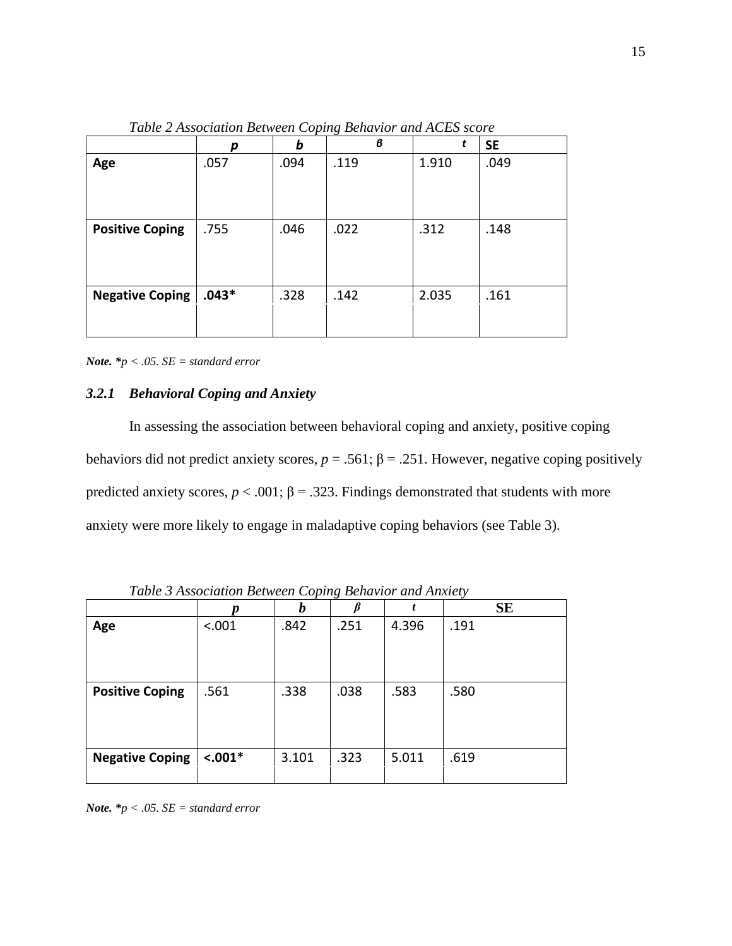<span id="page-24-1"></span>

|                        | р       | b    | в    |       | <b>SE</b> |
|------------------------|---------|------|------|-------|-----------|
| Age                    | .057    | .094 | .119 | 1.910 | .049      |
|                        |         |      |      |       |           |
|                        |         |      |      |       |           |
|                        |         |      |      |       |           |
| <b>Positive Coping</b> | .755    | .046 | .022 | .312  | .148      |
|                        |         |      |      |       |           |
|                        |         |      |      |       |           |
|                        |         |      |      |       |           |
| <b>Negative Coping</b> | $.043*$ | .328 | .142 | 2.035 | .161      |
|                        |         |      |      |       |           |
|                        |         |      |      |       |           |

*Table 2 Association Between Coping Behavior and ACES score*

*Note. \*p < .05. SE = standard error*

# <span id="page-24-0"></span>*3.2.1 Behavioral Coping and Anxiety*

In assessing the association between behavioral coping and anxiety, positive coping behaviors did not predict anxiety scores,  $p = .561$ ;  $\beta = .251$ . However, negative coping positively predicted anxiety scores,  $p < .001$ ;  $\beta = .323$ . Findings demonstrated that students with more anxiety were more likely to engage in maladaptive coping behaviors (see Table 3).

<span id="page-24-2"></span>

|                        |           | b     |      | t     | <b>SE</b> |
|------------------------|-----------|-------|------|-------|-----------|
| Age                    | < .001    | .842  | .251 | 4.396 | .191      |
|                        |           |       |      |       |           |
|                        |           |       |      |       |           |
|                        |           |       |      |       |           |
|                        |           |       |      |       |           |
| <b>Positive Coping</b> | .561      | .338  | .038 | .583  | .580      |
|                        |           |       |      |       |           |
|                        |           |       |      |       |           |
|                        |           |       |      |       |           |
| <b>Negative Coping</b> | $< .001*$ | 3.101 | .323 | 5.011 | .619      |
|                        |           |       |      |       |           |
|                        |           |       |      |       |           |

*Table 3 Association Between Coping Behavior and Anxiety*

*Note. \*p < .05. SE = standard error*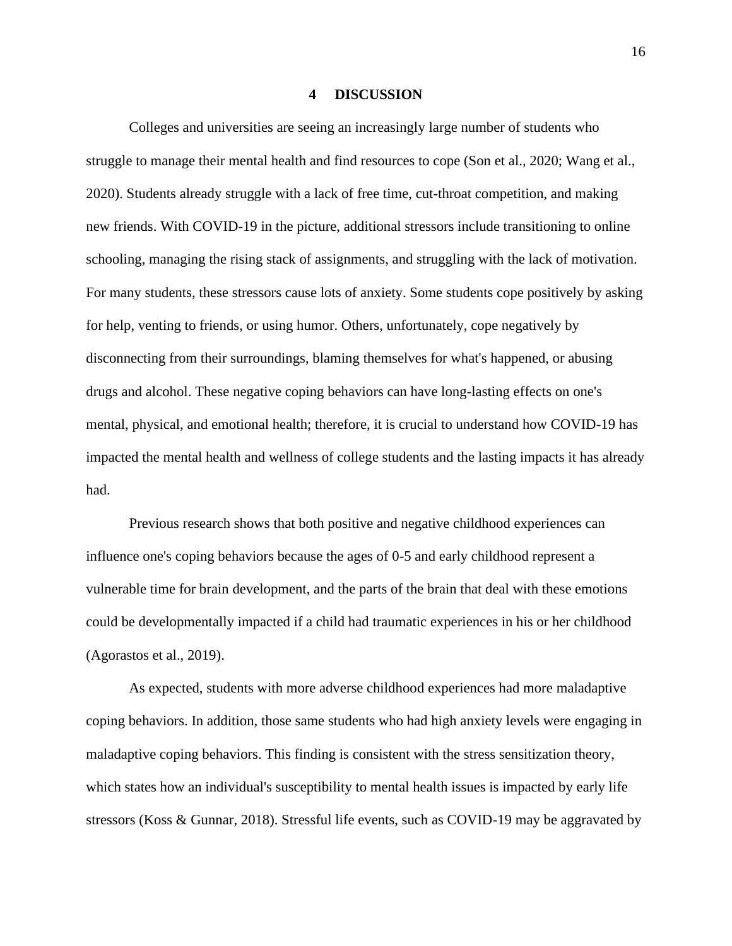#### **4 DISCUSSION**

<span id="page-25-0"></span>Colleges and universities are seeing an increasingly large number of students who struggle to manage their mental health and find resources to cope (Son et al., 2020; Wang et al., 2020). Students already struggle with a lack of free time, cut-throat competition, and making new friends. With COVID-19 in the picture, additional stressors include transitioning to online schooling, managing the rising stack of assignments, and struggling with the lack of motivation. For many students, these stressors cause lots of anxiety. Some students cope positively by asking for help, venting to friends, or using humor. Others, unfortunately, cope negatively by disconnecting from their surroundings, blaming themselves for what's happened, or abusing drugs and alcohol. These negative coping behaviors can have long-lasting effects on one's mental, physical, and emotional health; therefore, it is crucial to understand how COVID-19 has impacted the mental health and wellness of college students and the lasting impacts it has already had.

Previous research shows that both positive and negative childhood experiences can influence one's coping behaviors because the ages of 0-5 and early childhood represent a vulnerable time for brain development, and the parts of the brain that deal with these emotions could be developmentally impacted if a child had traumatic experiences in his or her childhood (Agorastos et al., 2019).

As expected, students with more adverse childhood experiences had more maladaptive coping behaviors. In addition, those same students who had high anxiety levels were engaging in maladaptive coping behaviors. This finding is consistent with the stress sensitization theory, which states how an individual's susceptibility to mental health issues is impacted by early life stressors (Koss & Gunnar, 2018). Stressful life events, such as COVID-19 may be aggravated by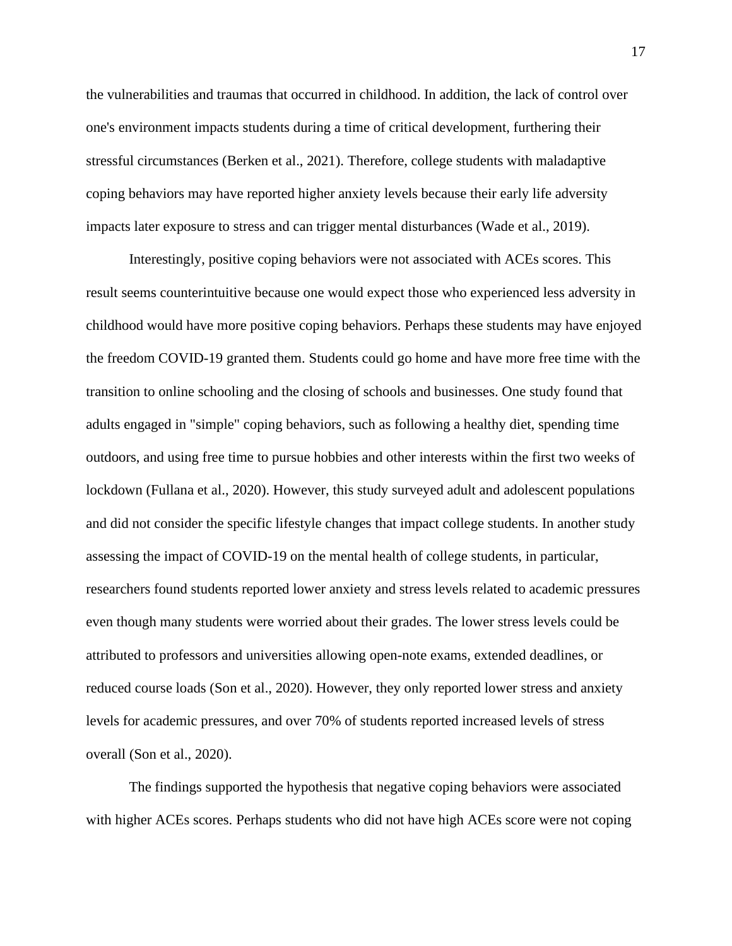the vulnerabilities and traumas that occurred in childhood. In addition, the lack of control over one's environment impacts students during a time of critical development, furthering their stressful circumstances (Berken et al., 2021). Therefore, college students with maladaptive coping behaviors may have reported higher anxiety levels because their early life adversity impacts later exposure to stress and can trigger mental disturbances (Wade et al., 2019).

Interestingly, positive coping behaviors were not associated with ACEs scores. This result seems counterintuitive because one would expect those who experienced less adversity in childhood would have more positive coping behaviors. Perhaps these students may have enjoyed the freedom COVID-19 granted them. Students could go home and have more free time with the transition to online schooling and the closing of schools and businesses. One study found that adults engaged in "simple" coping behaviors, such as following a healthy diet, spending time outdoors, and using free time to pursue hobbies and other interests within the first two weeks of lockdown (Fullana et al., 2020). However, this study surveyed adult and adolescent populations and did not consider the specific lifestyle changes that impact college students. In another study assessing the impact of COVID-19 on the mental health of college students, in particular, researchers found students reported lower anxiety and stress levels related to academic pressures even though many students were worried about their grades. The lower stress levels could be attributed to professors and universities allowing open-note exams, extended deadlines, or reduced course loads (Son et al., 2020). However, they only reported lower stress and anxiety levels for academic pressures, and over 70% of students reported increased levels of stress overall (Son et al., 2020).

The findings supported the hypothesis that negative coping behaviors were associated with higher ACEs scores. Perhaps students who did not have high ACEs score were not coping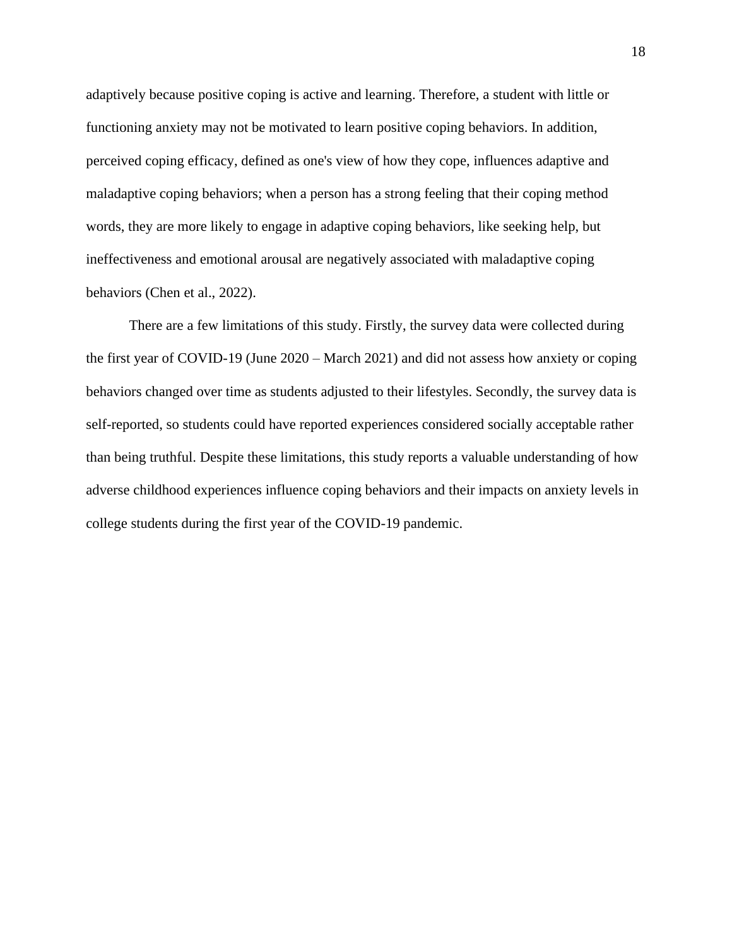adaptively because positive coping is active and learning. Therefore, a student with little or functioning anxiety may not be motivated to learn positive coping behaviors. In addition, perceived coping efficacy, defined as one's view of how they cope, influences adaptive and maladaptive coping behaviors; when a person has a strong feeling that their coping method words, they are more likely to engage in adaptive coping behaviors, like seeking help, but ineffectiveness and emotional arousal are negatively associated with maladaptive coping behaviors (Chen et al., 2022).

There are a few limitations of this study. Firstly, the survey data were collected during the first year of COVID-19 (June 2020 – March 2021) and did not assess how anxiety or coping behaviors changed over time as students adjusted to their lifestyles. Secondly, the survey data is self-reported, so students could have reported experiences considered socially acceptable rather than being truthful. Despite these limitations, this study reports a valuable understanding of how adverse childhood experiences influence coping behaviors and their impacts on anxiety levels in college students during the first year of the COVID-19 pandemic.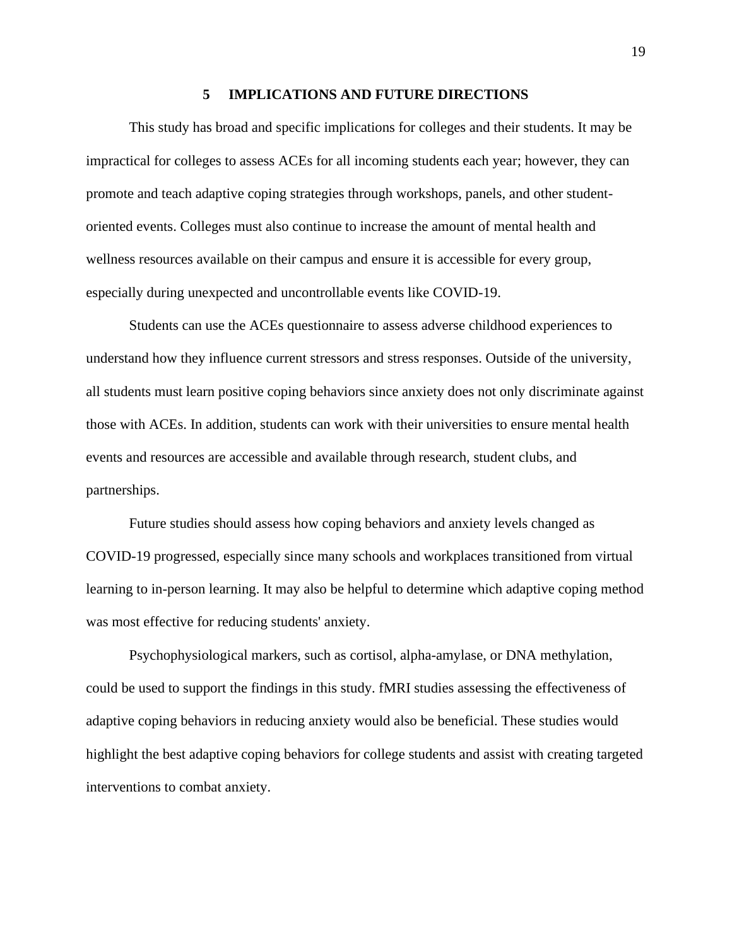#### **5 IMPLICATIONS AND FUTURE DIRECTIONS**

<span id="page-28-0"></span>This study has broad and specific implications for colleges and their students. It may be impractical for colleges to assess ACEs for all incoming students each year; however, they can promote and teach adaptive coping strategies through workshops, panels, and other studentoriented events. Colleges must also continue to increase the amount of mental health and wellness resources available on their campus and ensure it is accessible for every group, especially during unexpected and uncontrollable events like COVID-19.

Students can use the ACEs questionnaire to assess adverse childhood experiences to understand how they influence current stressors and stress responses. Outside of the university, all students must learn positive coping behaviors since anxiety does not only discriminate against those with ACEs. In addition, students can work with their universities to ensure mental health events and resources are accessible and available through research, student clubs, and partnerships.

Future studies should assess how coping behaviors and anxiety levels changed as COVID-19 progressed, especially since many schools and workplaces transitioned from virtual learning to in-person learning. It may also be helpful to determine which adaptive coping method was most effective for reducing students' anxiety.

Psychophysiological markers, such as cortisol, alpha-amylase, or DNA methylation, could be used to support the findings in this study. fMRI studies assessing the effectiveness of adaptive coping behaviors in reducing anxiety would also be beneficial. These studies would highlight the best adaptive coping behaviors for college students and assist with creating targeted interventions to combat anxiety.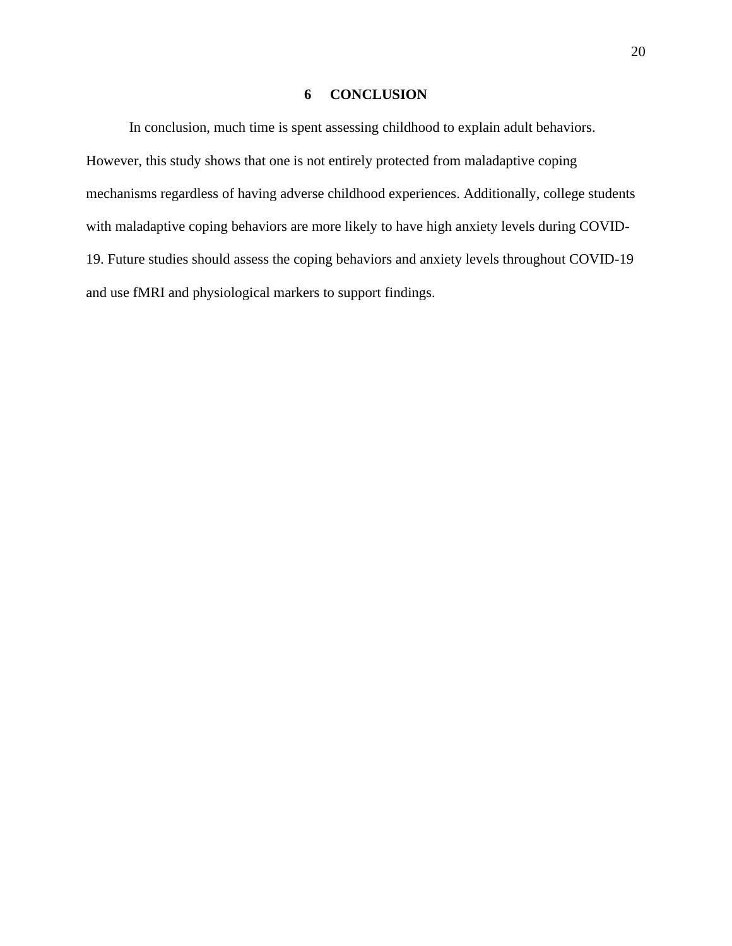# **6 CONCLUSION**

<span id="page-29-0"></span>In conclusion, much time is spent assessing childhood to explain adult behaviors. However, this study shows that one is not entirely protected from maladaptive coping mechanisms regardless of having adverse childhood experiences. Additionally, college students with maladaptive coping behaviors are more likely to have high anxiety levels during COVID-19. Future studies should assess the coping behaviors and anxiety levels throughout COVID-19 and use fMRI and physiological markers to support findings.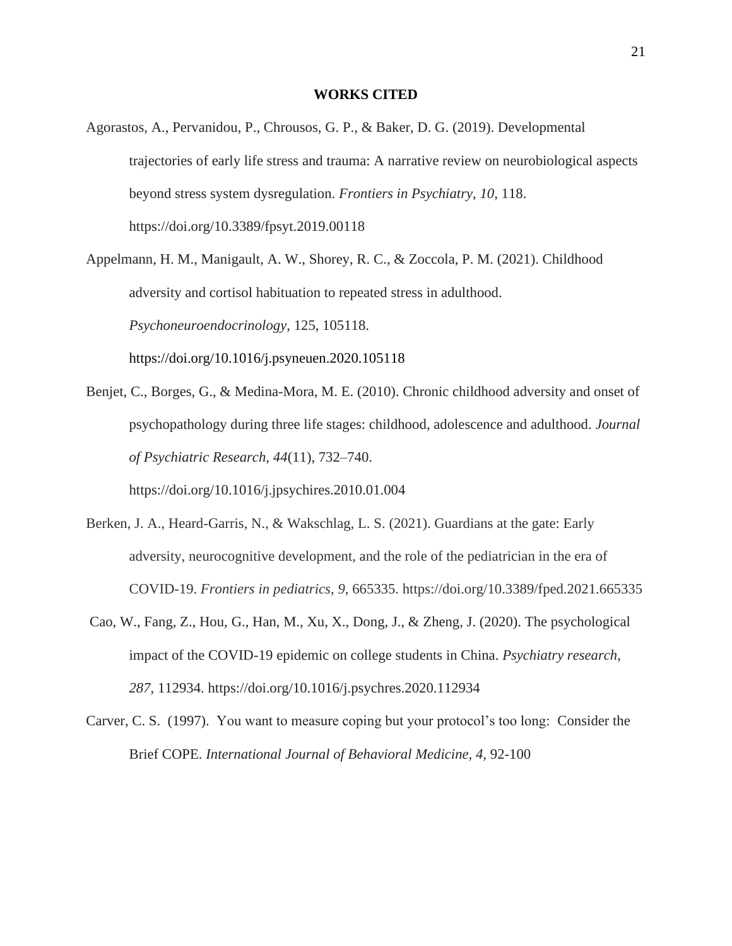#### **WORKS CITED**

<span id="page-30-0"></span>Agorastos, A., Pervanidou, P., Chrousos, G. P., & Baker, D. G. (2019). Developmental trajectories of early life stress and trauma: A narrative review on neurobiological aspects beyond stress system dysregulation. *Frontiers in Psychiatry*, *10*, 118. https://doi.org/10.3389/fpsyt.2019.00118

Appelmann, H. M., Manigault, A. W., Shorey, R. C., & Zoccola, P. M. (2021). Childhood adversity and cortisol habituation to repeated stress in adulthood. *Psychoneuroendocrinology*, 125, 105118. https://doi.org/10.1016/j.psyneuen.2020.105118

Benjet, C., Borges, G., & Medina-Mora, M. E. (2010). Chronic childhood adversity and onset of psychopathology during three life stages: childhood, adolescence and adulthood. *Journal of Psychiatric Research, 44*(11), 732–740.

https://doi.org/10.1016/j.jpsychires.2010.01.004

- Berken, J. A., Heard-Garris, N., & Wakschlag, L. S. (2021). Guardians at the gate: Early adversity, neurocognitive development, and the role of the pediatrician in the era of COVID-19. *Frontiers in pediatrics*, *9*, 665335. https://doi.org/10.3389/fped.2021.665335
- Cao, W., Fang, Z., Hou, G., Han, M., Xu, X., Dong, J., & Zheng, J. (2020). The psychological impact of the COVID-19 epidemic on college students in China. *Psychiatry research*, *287*, 112934. https://doi.org/10.1016/j.psychres.2020.112934
- Carver, C. S. (1997). You want to measure coping but your protocol's too long: Consider the Brief COPE. *International Journal of Behavioral Medicine, 4,* 92-100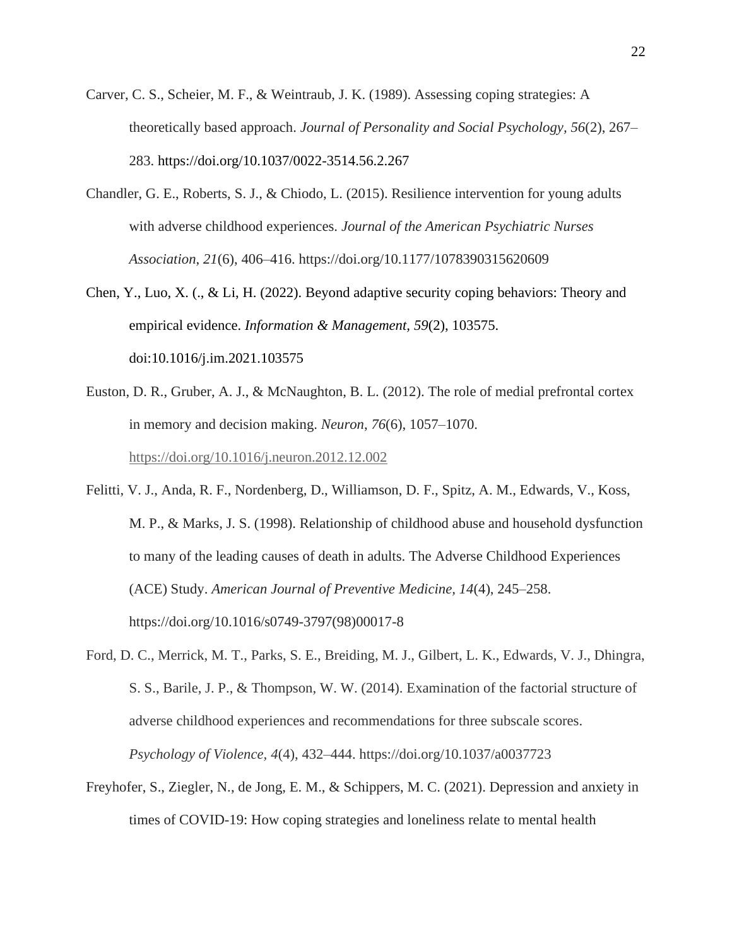- Carver, C. S., Scheier, M. F., & Weintraub, J. K. (1989). Assessing coping strategies: A theoretically based approach. *Journal of Personality and Social Psychology, 56*(2), 267– 283. https://doi.org/10.1037/0022-3514.56.2.267
- Chandler, G. E., Roberts, S. J., & Chiodo, L. (2015). Resilience intervention for young adults with adverse childhood experiences. *Journal of the American Psychiatric Nurses Association*, *21*(6), 406–416. https://doi.org/10.1177/1078390315620609
- Chen, Y., Luo, X. (., & Li, H. (2022). Beyond adaptive security coping behaviors: Theory and empirical evidence. *Information & Management, 59*(2), 103575. doi:10.1016/j.im.2021.103575
- Euston, D. R., Gruber, A. J., & McNaughton, B. L. (2012). The role of medial prefrontal cortex in memory and decision making. *Neuron*, *76*(6), 1057–1070. <https://doi.org/10.1016/j.neuron.2012.12.002>
- Felitti, V. J., Anda, R. F., Nordenberg, D., Williamson, D. F., Spitz, A. M., Edwards, V., Koss, M. P., & Marks, J. S. (1998). Relationship of childhood abuse and household dysfunction to many of the leading causes of death in adults. The Adverse Childhood Experiences (ACE) Study. *American Journal of Preventive Medicine, 14*(4), 245–258. https://doi.org/10.1016/s0749-3797(98)00017-8
- Ford, D. C., Merrick, M. T., Parks, S. E., Breiding, M. J., Gilbert, L. K., Edwards, V. J., Dhingra, S. S., Barile, J. P., & Thompson, W. W. (2014). Examination of the factorial structure of adverse childhood experiences and recommendations for three subscale scores. *Psychology of Violence, 4*(4), 432–444. https://doi.org/10.1037/a0037723
- Freyhofer, S., Ziegler, N., de Jong, E. M., & Schippers, M. C. (2021). Depression and anxiety in times of COVID-19: How coping strategies and loneliness relate to mental health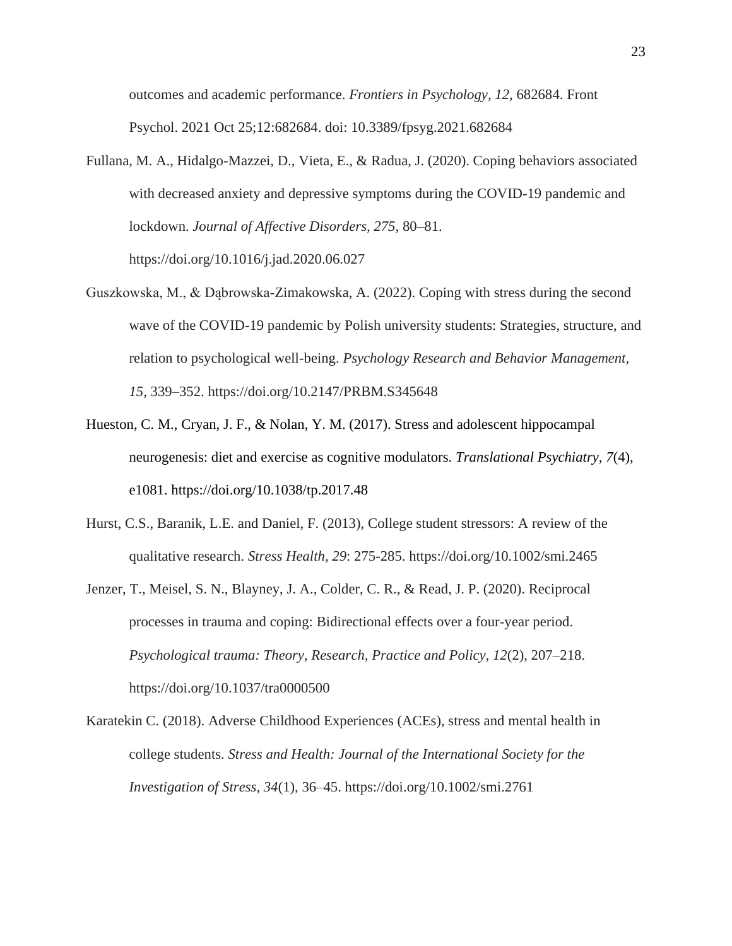outcomes and academic performance. *Frontiers in Psychology, 12*, 682684. Front Psychol. 2021 Oct 25;12:682684. doi: 10.3389/fpsyg.2021.682684

- Fullana, M. A., Hidalgo-Mazzei, D., Vieta, E., & Radua, J. (2020). Coping behaviors associated with decreased anxiety and depressive symptoms during the COVID-19 pandemic and lockdown. *Journal of Affective Disorders, 275*, 80–81. https://doi.org/10.1016/j.jad.2020.06.027
- Guszkowska, M., & Dąbrowska-Zimakowska, A. (2022). Coping with stress during the second wave of the COVID-19 pandemic by Polish university students: Strategies, structure, and relation to psychological well-being. *Psychology Research and Behavior Management, 15,* 339–352. https://doi.org/10.2147/PRBM.S345648
- Hueston, C. M., Cryan, J. F., & Nolan, Y. M. (2017). Stress and adolescent hippocampal neurogenesis: diet and exercise as cognitive modulators. *Translational Psychiatry, 7*(4), e1081. https://doi.org/10.1038/tp.2017.48
- Hurst, C.S., Baranik, L.E. and Daniel, F. (2013), College student stressors: A review of the qualitative research. *Stress Health, 29*: 275-285. https://doi.org/10.1002/smi.2465
- Jenzer, T., Meisel, S. N., Blayney, J. A., Colder, C. R., & Read, J. P. (2020). Reciprocal processes in trauma and coping: Bidirectional effects over a four-year period. *Psychological trauma: Theory, Research, Practice and Policy, 12*(2), 207–218. https://doi.org/10.1037/tra0000500
- Karatekin C. (2018). Adverse Childhood Experiences (ACEs), stress and mental health in college students. *Stress and Health: Journal of the International Society for the Investigation of Stress, 34*(1), 36–45. https://doi.org/10.1002/smi.2761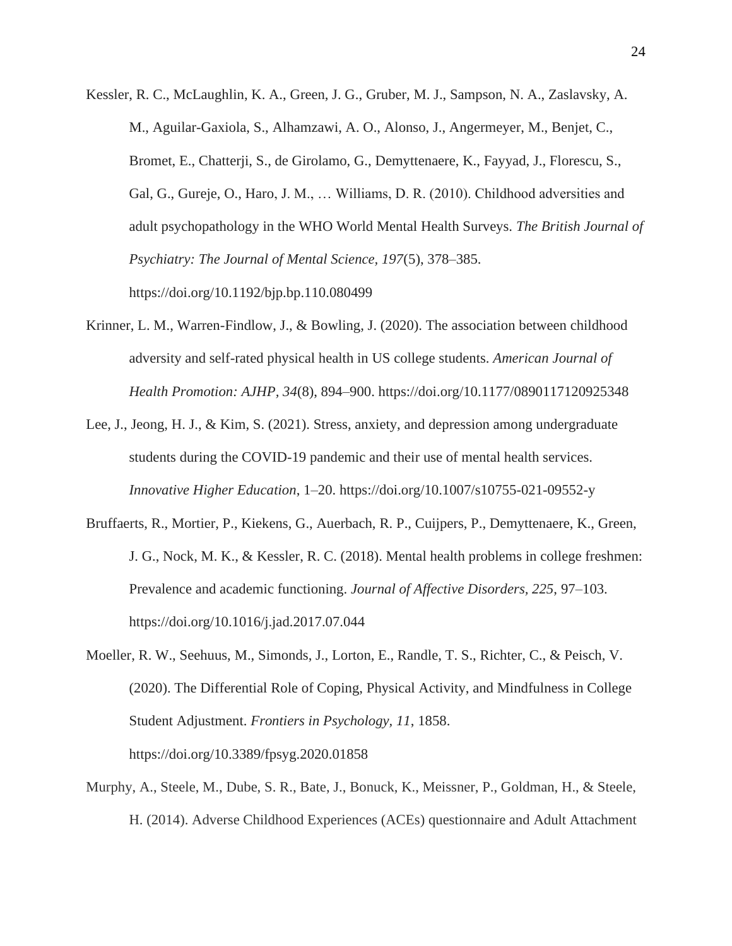- Kessler, R. C., McLaughlin, K. A., Green, J. G., Gruber, M. J., Sampson, N. A., Zaslavsky, A. M., Aguilar-Gaxiola, S., Alhamzawi, A. O., Alonso, J., Angermeyer, M., Benjet, C., Bromet, E., Chatterji, S., de Girolamo, G., Demyttenaere, K., Fayyad, J., Florescu, S., Gal, G., Gureje, O., Haro, J. M., … Williams, D. R. (2010). Childhood adversities and adult psychopathology in the WHO World Mental Health Surveys. *The British Journal of Psychiatry: The Journal of Mental Science, 197*(5), 378–385. https://doi.org/10.1192/bjp.bp.110.080499
- Krinner, L. M., Warren-Findlow, J., & Bowling, J. (2020). The association between childhood adversity and self-rated physical health in US college students. *American Journal of Health Promotion: AJHP, 34*(8), 894–900. https://doi.org/10.1177/0890117120925348
- Lee, J., Jeong, H. J., & Kim, S. (2021). Stress, anxiety, and depression among undergraduate students during the COVID-19 pandemic and their use of mental health services. *Innovative Higher Education*, 1–20. https://doi.org/10.1007/s10755-021-09552-y
- Bruffaerts, R., Mortier, P., Kiekens, G., Auerbach, R. P., Cuijpers, P., Demyttenaere, K., Green, J. G., Nock, M. K., & Kessler, R. C. (2018). Mental health problems in college freshmen: Prevalence and academic functioning. *Journal of Affective Disorders, 225*, 97–103. https://doi.org/10.1016/j.jad.2017.07.044
- Moeller, R. W., Seehuus, M., Simonds, J., Lorton, E., Randle, T. S., Richter, C., & Peisch, V. (2020). The Differential Role of Coping, Physical Activity, and Mindfulness in College Student Adjustment. *Frontiers in Psychology, 11*, 1858. https://doi.org/10.3389/fpsyg.2020.01858
- Murphy, A., Steele, M., Dube, S. R., Bate, J., Bonuck, K., Meissner, P., Goldman, H., & Steele, H. (2014). Adverse Childhood Experiences (ACEs) questionnaire and Adult Attachment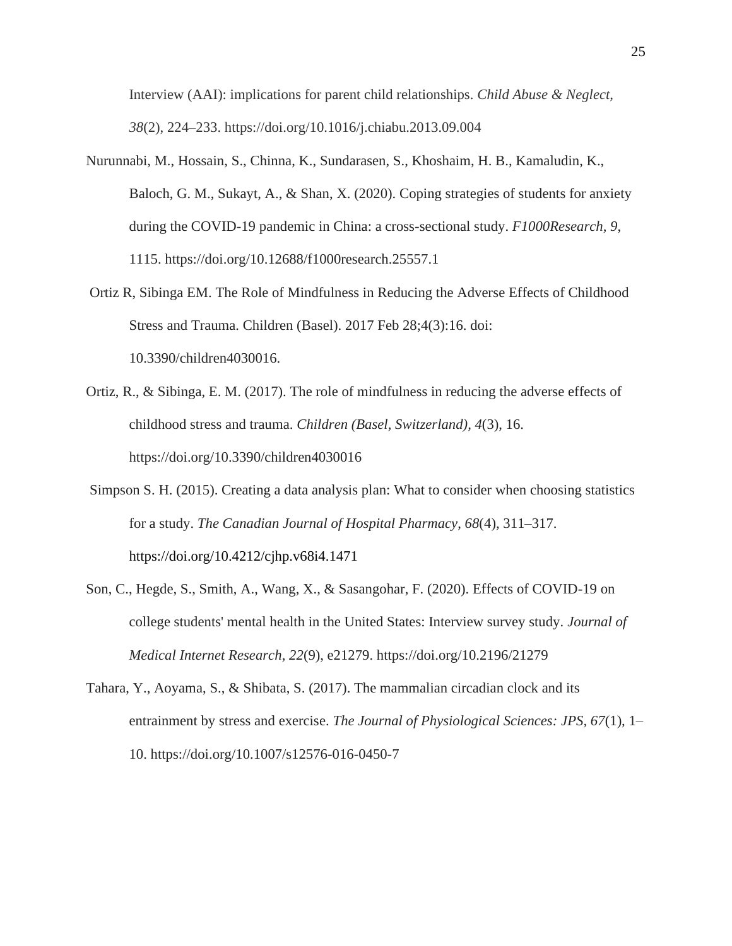Interview (AAI): implications for parent child relationships. *Child Abuse & Neglect, 38*(2), 224–233. https://doi.org/10.1016/j.chiabu.2013.09.004

- Nurunnabi, M., Hossain, S., Chinna, K., Sundarasen, S., Khoshaim, H. B., Kamaludin, K., Baloch, G. M., Sukayt, A., & Shan, X. (2020). Coping strategies of students for anxiety during the COVID-19 pandemic in China: a cross-sectional study. *F1000Research, 9*, 1115. https://doi.org/10.12688/f1000research.25557.1
- Ortiz R, Sibinga EM. The Role of Mindfulness in Reducing the Adverse Effects of Childhood Stress and Trauma. Children (Basel). 2017 Feb 28;4(3):16. doi: 10.3390/children4030016.
- Ortiz, R., & Sibinga, E. M. (2017). The role of mindfulness in reducing the adverse effects of childhood stress and trauma. *Children (Basel, Switzerland), 4*(3), 16. https://doi.org/10.3390/children4030016
- Simpson S. H. (2015). Creating a data analysis plan: What to consider when choosing statistics for a study. *The Canadian Journal of Hospital Pharmacy*, *68*(4), 311–317. https://doi.org/10.4212/cjhp.v68i4.1471
- Son, C., Hegde, S., Smith, A., Wang, X., & Sasangohar, F. (2020). Effects of COVID-19 on college students' mental health in the United States: Interview survey study. *Journal of Medical Internet Research, 22*(9), e21279. https://doi.org/10.2196/21279
- Tahara, Y., Aoyama, S., & Shibata, S. (2017). The mammalian circadian clock and its entrainment by stress and exercise. *The Journal of Physiological Sciences: JPS, 67*(1), 1– 10. https://doi.org/10.1007/s12576-016-0450-7